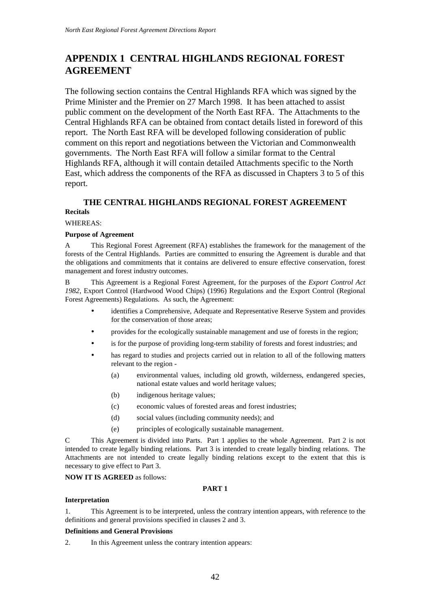# **APPENDIX 1 CENTRAL HIGHLANDS REGIONAL FOREST AGREEMENT**

The following section contains the Central Highlands RFA which was signed by the Prime Minister and the Premier on 27 March 1998. It has been attached to assist public comment on the development of the North East RFA. The Attachments to the Central Highlands RFA can be obtained from contact details listed in foreword of this report. The North East RFA will be developed following consideration of public comment on this report and negotiations between the Victorian and Commonwealth governments. The North East RFA will follow a similar format to the Central Highlands RFA, although it will contain detailed Attachments specific to the North East, which address the components of the RFA as discussed in Chapters 3 to 5 of this report.

# **THE CENTRAL HIGHLANDS REGIONAL FOREST AGREEMENT Recitals**

## WHEREAS:

## **Purpose of Agreement**

A This Regional Forest Agreement (RFA) establishes the framework for the management of the forests of the Central Highlands. Parties are committed to ensuring the Agreement is durable and that the obligations and commitments that it contains are delivered to ensure effective conservation, forest management and forest industry outcomes.

B This Agreement is a Regional Forest Agreement, for the purposes of the *Export Control Act 1982*, Export Control (Hardwood Wood Chips) (1996) Regulations and the Export Control (Regional Forest Agreements) Regulations. As such, the Agreement:

- identifies a Comprehensive, Adequate and Representative Reserve System and provides for the conservation of those areas;
- provides for the ecologically sustainable management and use of forests in the region;
- is for the purpose of providing long-term stability of forests and forest industries; and
- has regard to studies and projects carried out in relation to all of the following matters relevant to the region -
	- (a) environmental values, including old growth, wilderness, endangered species, national estate values and world heritage values;
	- (b) indigenous heritage values;
	- (c) economic values of forested areas and forest industries;
	- (d) social values (including community needs); and
	- (e) principles of ecologically sustainable management.

C This Agreement is divided into Parts. Part 1 applies to the whole Agreement. Part 2 is not intended to create legally binding relations. Part 3 is intended to create legally binding relations. The Attachments are not intended to create legally binding relations except to the extent that this is necessary to give effect to Part 3.

### **NOW IT IS AGREED** as follows:

### **PART 1**

### **Interpretation**

1. This Agreement is to be interpreted, unless the contrary intention appears, with reference to the definitions and general provisions specified in clauses 2 and 3.

### **Definitions and General Provisions**

2. In this Agreement unless the contrary intention appears: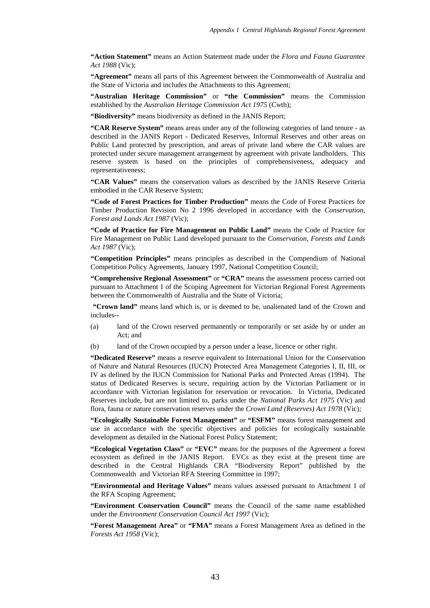**"Action Statement"** means an Action Statement made under the *Flora and Fauna Guarantee Act 1988* (Vic);

**"Agreement"** means all parts of this Agreement between the Commonwealth of Australia and the State of Victoria and includes the Attachments to this Agreement;

**"Australian Heritage Commission"** or **"the Commission"** means the Commission established by the *Australian Heritage Commission Act 1975* (Cwth);

**"Biodiversity"** means biodiversity as defined in the JANIS Report;

**"CAR Reserve System"** means areas under any of the following categories of land tenure - as described in the JANIS Report - Dedicated Reserves, Informal Reserves and other areas on Public Land protected by prescription, and areas of private land where the CAR values are protected under secure management arrangement by agreement with private landholders. This reserve system is based on the principles of comprehensiveness, adequacy and representativeness;

**"CAR Values"** means the conservation values as described by the JANIS Reserve Criteria embodied in the CAR Reserve System;

**"Code of Forest Practices for Timber Production"** means the Code of Forest Practices for Timber Production Revision No 2 1996 developed in accordance with the *Conservation, Forest and Lands Act 1987* (Vic);

**"Code of Practice for Fire Management on Public Land"** means the Code of Practice for Fire Management on Public Land developed pursuant to the *Conservation, Forests and Lands Act 1987* (Vic);

**"Competition Principles"** means principles as described in the Compendium of National Competition Policy Agreements, January 1997, National Competition Council;

**"Comprehensive Regional Assessment"** or **"CRA"** means the assessment process carried out pursuant to Attachment 1 of the Scoping Agreement for Victorian Regional Forest Agreements between the Commonwealth of Australia and the State of Victoria;

 **"Crown land"** means land which is, or is deemed to be, unalienated land of the Crown and includes--

- (a) land of the Crown reserved permanently or temporarily or set aside by or under an Act; and
- (b) land of the Crown occupied by a person under a lease, licence or other right.

**"Dedicated Reserve"** means a reserve equivalent to International Union for the Conservation of Nature and Natural Resources (IUCN) Protected Area Management Categories I, II, III, or IV as defined by the IUCN Commission for National Parks and Protected Areas (1994). The status of Dedicated Reserves is secure, requiring action by the Victorian Parliament or in accordance with Victorian legislation for reservation or revocation. In Victoria, Dedicated Reserves include, but are not limited to, parks under the *National Parks Act 1975* (Vic) and flora, fauna or nature conservation reserves under the *Crown Land (Reserves) Act 1978* (Vic)*;*

**"Ecologically Sustainable Forest Management"** or **"ESFM"** means forest management and use in accordance with the specific objectives and policies for ecologically sustainable development as detailed in the National Forest Policy Statement;

**"Ecological Vegetation Class"** or **"EVC"** means for the purposes of the Agreement a forest ecosystem as defined in the JANIS Report. EVCs as they exist at the present time are described in the Central Highlands CRA "Biodiversity Report" published by the Commonwealth and Victorian RFA Steering Committee in 1997;

**"Environmental and Heritage Values"** means values assessed pursuant to Attachment 1 of the RFA Scoping Agreement;

**"Environment Conservation Council"** means the Council of the same name established under the *Environment Conservation Council Act 1997* (Vic);

**"Forest Management Area"** or **"FMA"** means a Forest Management Area as defined in the *Forests Act 1958* (Vic);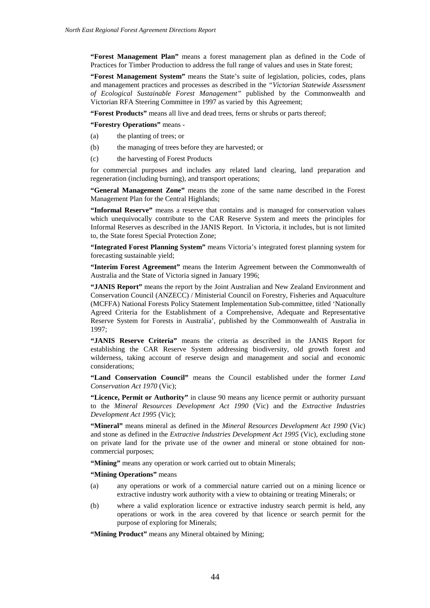**"Forest Management Plan"** means a forest management plan as defined in the Code of Practices for Timber Production to address the full range of values and uses in State forest;

**"Forest Management System"** means the State's suite of legislation, policies, codes, plans and management practices and processes as described in the *"Victorian Statewide Assessment of Ecological Sustainable Forest Management"* published by the Commonwealth and Victorian RFA Steering Committee in 1997 as varied by this Agreement;

**"Forest Products"** means all live and dead trees, ferns or shrubs or parts thereof;

**"Forestry Operations"** means -

- (a) the planting of trees; or
- (b) the managing of trees before they are harvested; or
- (c) the harvesting of Forest Products

for commercial purposes and includes any related land clearing, land preparation and regeneration (including burning), and transport operations;

**"General Management Zone"** means the zone of the same name described in the Forest Management Plan for the Central Highlands;

**"Informal Reserve"** means a reserve that contains and is managed for conservation values which unequivocally contribute to the CAR Reserve System and meets the principles for Informal Reserves as described in the JANIS Report. In Victoria, it includes, but is not limited to, the State forest Special Protection Zone;

**"Integrated Forest Planning System"** means Victoria's integrated forest planning system for forecasting sustainable yield;

**"Interim Forest Agreement"** means the Interim Agreement between the Commonwealth of Australia and the State of Victoria signed in January 1996;

**"JANIS Report"** means the report by the Joint Australian and New Zealand Environment and Conservation Council (ANZECC) / Ministerial Council on Forestry, Fisheries and Aquaculture (MCFFA) National Forests Policy Statement Implementation Sub-committee, titled 'Nationally Agreed Criteria for the Establishment of a Comprehensive, Adequate and Representative Reserve System for Forests in Australia', published by the Commonwealth of Australia in 1997;

**"JANIS Reserve Criteria"** means the criteria as described in the JANIS Report for establishing the CAR Reserve System addressing biodiversity, old growth forest and wilderness, taking account of reserve design and management and social and economic considerations;

**"Land Conservation Council"** means the Council established under the former *Land Conservation Act 1970* (Vic);

**"Licence, Permit or Authority"** in clause 90 means any licence permit or authority pursuant to the *Mineral Resources Development Act 1990* (Vic) and the *Extractive Industries Development Act 1995* (Vic);

**"Mineral"** means mineral as defined in the *Mineral Resources Development Act 1990* (Vic) and stone as defined in the *Extractive Industries Development Act 1995* (Vic), excluding stone on private land for the private use of the owner and mineral or stone obtained for noncommercial purposes;

"Mining" means any operation or work carried out to obtain Minerals;

**"Mining Operations"** means

- (a) any operations or work of a commercial nature carried out on a mining licence or extractive industry work authority with a view to obtaining or treating Minerals; or
- (b) where a valid exploration licence or extractive industry search permit is held, any operations or work in the area covered by that licence or search permit for the purpose of exploring for Minerals;

**"Mining Product"** means any Mineral obtained by Mining;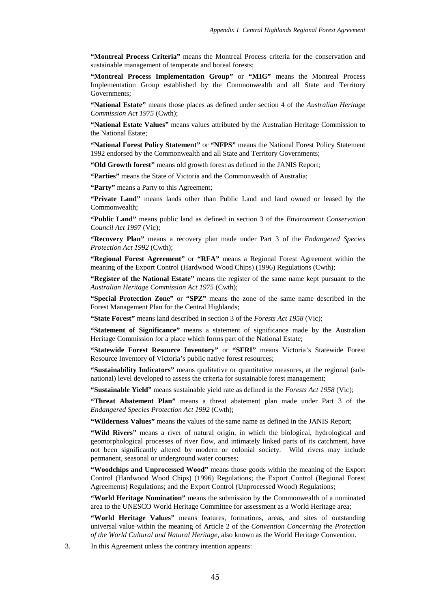**"Montreal Process Criteria"** means the Montreal Process criteria for the conservation and sustainable management of temperate and boreal forests;

**"Montreal Process Implementation Group"** or **"MIG"** means the Montreal Process Implementation Group established by the Commonwealth and all State and Territory Governments;

**"National Estate"** means those places as defined under section 4 of the *Australian Heritage Commission Act 1975* (Cwth);

**"National Estate Values"** means values attributed by the Australian Heritage Commission to the National Estate;

**"National Forest Policy Statement"** or **"NFPS"** means the National Forest Policy Statement 1992 endorsed by the Commonwealth and all State and Territory Governments;

**"Old Growth forest"** means old growth forest as defined in the JANIS Report;

**"Parties"** means the State of Victoria and the Commonwealth of Australia;

**"Party"** means a Party to this Agreement;

**"Private Land"** means lands other than Public Land and land owned or leased by the Commonwealth;

**"Public Land"** means public land as defined in section 3 of the *Environment Conservation Council Act 1997* (Vic);

**"Recovery Plan"** means a recovery plan made under Part 3 of the *Endangered Species Protection Act 1992* (Cwth);

**"Regional Forest Agreement"** or **"RFA"** means a Regional Forest Agreement within the meaning of the Export Control (Hardwood Wood Chips) (1996) Regulations (Cwth);

**"Register of the National Estate"** means the register of the same name kept pursuant to the *Australian Heritage Commission Act 1975* (Cwth);

**"Special Protection Zone"** or **"SPZ"** means the zone of the same name described in the Forest Management Plan for the Central Highlands;

**"State Forest"** means land described in section 3 of the *Forests Act 1958* (Vic);

**"Statement of Significance"** means a statement of significance made by the Australian Heritage Commission for a place which forms part of the National Estate;

**"Statewide Forest Resource Inventory"** or **"SFRI"** means Victoria's Statewide Forest Resource Inventory of Victoria's public native forest resources;

**"Sustainability Indicators"** means qualitative or quantitative measures, at the regional (subnational) level developed to assess the criteria for sustainable forest management;

**"Sustainable Yield"** means sustainable yield rate as defined in the *Forests Act 1958* (Vic);

**"Threat Abatement Plan"** means a threat abatement plan made under Part 3 of the *Endangered Species Protection Act 1992* (Cwth);

**"Wilderness Values"** means the values of the same name as defined in the JANIS Report;

"Wild Rivers" means a river of natural origin, in which the biological, hydrological and geomorphological processes of river flow, and intimately linked parts of its catchment, have not been significantly altered by modern or colonial society. Wild rivers may include permanent, seasonal or underground water courses;

**"Woodchips and Unprocessed Wood"** means those goods within the meaning of the Export Control (Hardwood Wood Chips) (1996) Regulations; the Export Control (Regional Forest Agreements) Regulations; and the Export Control (Unprocessed Wood) Regulations;

**"World Heritage Nomination"** means the submission by the Commonwealth of a nominated area to the UNESCO World Heritage Committee for assessment as a World Heritage area;

**"World Heritage Values"** means features, formations, areas, and sites of outstanding universal value within the meaning of Article 2 of the *Convention Concerning the Protection of the World Cultural and Natural Heritage*, also known as the World Heritage Convention.

3. In this Agreement unless the contrary intention appears: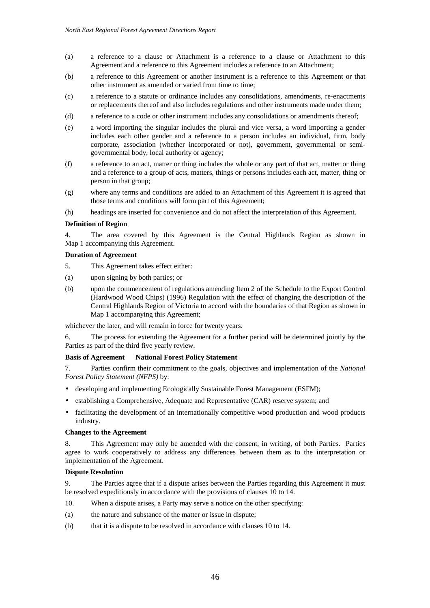- (a) a reference to a clause or Attachment is a reference to a clause or Attachment to this Agreement and a reference to this Agreement includes a reference to an Attachment;
- (b) a reference to this Agreement or another instrument is a reference to this Agreement or that other instrument as amended or varied from time to time;
- (c) a reference to a statute or ordinance includes any consolidations, amendments, re-enactments or replacements thereof and also includes regulations and other instruments made under them;
- (d) a reference to a code or other instrument includes any consolidations or amendments thereof;
- (e) a word importing the singular includes the plural and vice versa, a word importing a gender includes each other gender and a reference to a person includes an individual, firm, body corporate, association (whether incorporated or not), government, governmental or semigovernmental body, local authority or agency;
- (f) a reference to an act, matter or thing includes the whole or any part of that act, matter or thing and a reference to a group of acts, matters, things or persons includes each act, matter, thing or person in that group;
- (g) where any terms and conditions are added to an Attachment of this Agreement it is agreed that those terms and conditions will form part of this Agreement;
- (h) headings are inserted for convenience and do not affect the interpretation of this Agreement.

#### **Definition of Region**

4. The area covered by this Agreement is the Central Highlands Region as shown in Map 1 accompanying this Agreement.

### **Duration of Agreement**

- 5. This Agreement takes effect either:
- (a) upon signing by both parties; or
- (b) upon the commencement of regulations amending Item 2 of the Schedule to the Export Control (Hardwood Wood Chips) (1996) Regulation with the effect of changing the description of the Central Highlands Region of Victoria to accord with the boundaries of that Region as shown in Map 1 accompanying this Agreement;

whichever the later, and will remain in force for twenty years.

6. The process for extending the Agreement for a further period will be determined jointly by the Parties as part of the third five yearly review.

#### **Basis of Agreement National Forest Policy Statement**

7. Parties confirm their commitment to the goals, objectives and implementation of the *National Forest Policy Statement (NFPS)* by:

- developing and implementing Ecologically Sustainable Forest Management (ESFM);
- establishing a Comprehensive, Adequate and Representative (CAR) reserve system; and
- facilitating the development of an internationally competitive wood production and wood products industry.

#### **Changes to the Agreement**

8. This Agreement may only be amended with the consent, in writing, of both Parties. Parties agree to work cooperatively to address any differences between them as to the interpretation or implementation of the Agreement.

#### **Dispute Resolution**

9. The Parties agree that if a dispute arises between the Parties regarding this Agreement it must be resolved expeditiously in accordance with the provisions of clauses 10 to 14.

- 10. When a dispute arises, a Party may serve a notice on the other specifying:
- (a) the nature and substance of the matter or issue in dispute;
- (b) that it is a dispute to be resolved in accordance with clauses 10 to 14.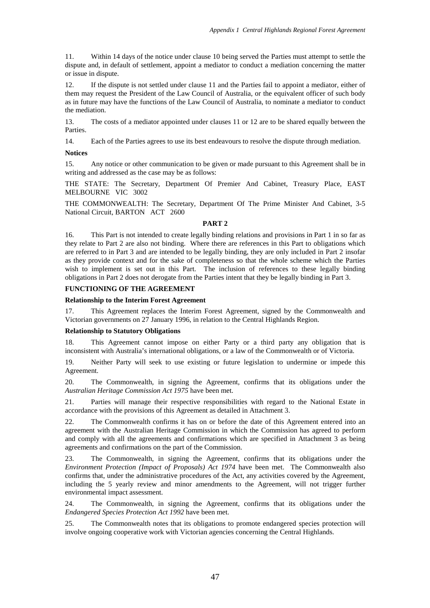11. Within 14 days of the notice under clause 10 being served the Parties must attempt to settle the dispute and, in default of settlement, appoint a mediator to conduct a mediation concerning the matter or issue in dispute.

12. If the dispute is not settled under clause 11 and the Parties fail to appoint a mediator, either of them may request the President of the Law Council of Australia, or the equivalent officer of such body as in future may have the functions of the Law Council of Australia, to nominate a mediator to conduct the mediation.

13. The costs of a mediator appointed under clauses 11 or 12 are to be shared equally between the Parties.

14. Each of the Parties agrees to use its best endeavours to resolve the dispute through mediation.

## **Notices**

15. Any notice or other communication to be given or made pursuant to this Agreement shall be in writing and addressed as the case may be as follows:

THE STATE: The Secretary, Department Of Premier And Cabinet, Treasury Place, EAST MELBOURNE VIC 3002

THE COMMONWEALTH: The Secretary, Department Of The Prime Minister And Cabinet, 3-5 National Circuit, BARTON ACT 2600

#### **PART 2**

16. This Part is not intended to create legally binding relations and provisions in Part 1 in so far as they relate to Part 2 are also not binding. Where there are references in this Part to obligations which are referred to in Part 3 and are intended to be legally binding, they are only included in Part 2 insofar as they provide context and for the sake of completeness so that the whole scheme which the Parties wish to implement is set out in this Part. The inclusion of references to these legally binding obligations in Part 2 does not derogate from the Parties intent that they be legally binding in Part 3.

# **FUNCTIONING OF THE AGREEMENT**

#### **Relationship to the Interim Forest Agreement**

17. This Agreement replaces the Interim Forest Agreement, signed by the Commonwealth and Victorian governments on 27 January 1996, in relation to the Central Highlands Region.

#### **Relationship to Statutory Obligations**

18. This Agreement cannot impose on either Party or a third party any obligation that is inconsistent with Australia's international obligations, or a law of the Commonwealth or of Victoria.

19. Neither Party will seek to use existing or future legislation to undermine or impede this Agreement.

20. The Commonwealth, in signing the Agreement, confirms that its obligations under the *Australian Heritage Commission Act 1975* have been met.

21. Parties will manage their respective responsibilities with regard to the National Estate in accordance with the provisions of this Agreement as detailed in Attachment 3.

22. The Commonwealth confirms it has on or before the date of this Agreement entered into an agreement with the Australian Heritage Commission in which the Commission has agreed to perform and comply with all the agreements and confirmations which are specified in Attachment 3 as being agreements and confirmations on the part of the Commission.

23. The Commonwealth, in signing the Agreement, confirms that its obligations under the *Environment Protection (Impact of Proposals) Act 1974* have been met. The Commonwealth also confirms that, under the administrative procedures of the Act, any activities covered by the Agreement, including the 5 yearly review and minor amendments to the Agreement, will not trigger further environmental impact assessment.

24. The Commonwealth, in signing the Agreement, confirms that its obligations under the *Endangered Species Protection Act 1992* have been met.

25. The Commonwealth notes that its obligations to promote endangered species protection will involve ongoing cooperative work with Victorian agencies concerning the Central Highlands.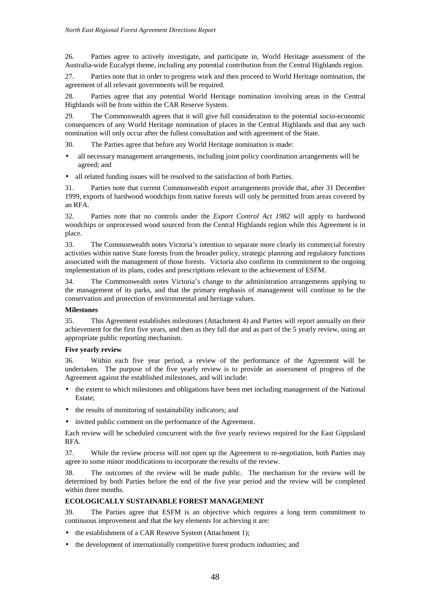26. Parties agree to actively investigate, and participate in, World Heritage assessment of the Australia-wide Eucalypt theme, including any potential contribution from the Central Highlands region.

27. Parties note that in order to progress work and then proceed to World Heritage nomination, the agreement of all relevant governments will be required.

28. Parties agree that any potential World Heritage nomination involving areas in the Central Highlands will be from within the CAR Reserve System.

29. The Commonwealth agrees that it will give full consideration to the potential socio-economic consequences of any World Heritage nomination of places in the Central Highlands and that any such nomination will only occur after the fullest consultation and with agreement of the State.

30. The Parties agree that before any World Heritage nomination is made:

- all necessary management arrangements, including joint policy coordination arrangements will be agreed; and
- all related funding issues will be resolved to the satisfaction of both Parties.

31. Parties note that current Commonwealth export arrangements provide that, after 31 December 1999, exports of hardwood woodchips from native forests will only be permitted from areas covered by an RFA.

32. Parties note that no controls under the *Export Control Act 1982* will apply to hardwood woodchips or unprocessed wood sourced from the Central Highlands region while this Agreement is in place.

33. The Commonwealth notes Victoria's intention to separate more clearly its commercial forestry activities within native State forests from the broader policy, strategic planning and regulatory functions associated with the management of those forests. Victoria also confirms its commitment to the ongoing implementation of its plans, codes and prescriptions relevant to the achievement of ESFM.

34. The Commonwealth notes Victoria's change to the administration arrangements applying to the management of its parks, and that the primary emphasis of management will continue to be the conservation and protection of environmental and heritage values.

### **Milestones**

35. This Agreement establishes milestones (Attachment 4) and Parties will report annually on their achievement for the first five years, and then as they fall due and as part of the 5 yearly review, using an appropriate public reporting mechanism.

## **Five yearly review**

36. Within each five year period, a review of the performance of the Agreement will be undertaken. The purpose of the five yearly review is to provide an assessment of progress of the Agreement against the established milestones, and will include:

- the extent to which milestones and obligations have been met including management of the National Estate;
- the results of monitoring of sustainability indicators; and
- invited public comment on the performance of the Agreement.

Each review will be scheduled concurrent with the five yearly reviews required for the East Gippsland RFA.

37. While the review process will not open up the Agreement to re-negotiation, both Parties may agree to some minor modifications to incorporate the results of the review.

38. The outcomes of the review will be made public. The mechanism for the review will be determined by both Parties before the end of the five year period and the review will be completed within three months.

# **ECOLOGICALLY SUSTAINABLE FOREST MANAGEMENT**

39. The Parties agree that ESFM is an objective which requires a long term commitment to continuous improvement and that the key elements for achieving it are:

- the establishment of a CAR Reserve System (Attachment 1);
- the development of internationally competitive forest products industries; and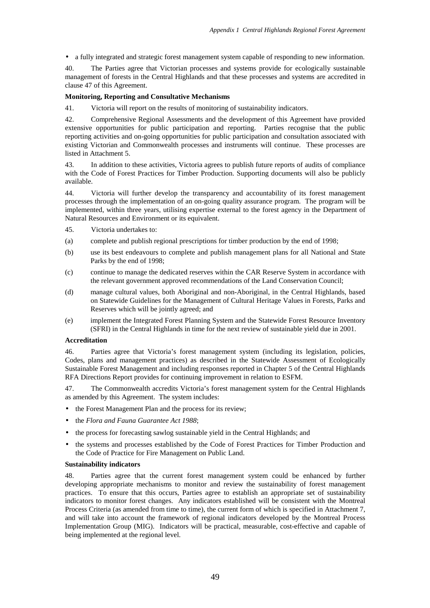• a fully integrated and strategic forest management system capable of responding to new information.

40. The Parties agree that Victorian processes and systems provide for ecologically sustainable management of forests in the Central Highlands and that these processes and systems are accredited in clause 47 of this Agreement.

#### **Monitoring, Reporting and Consultative Mechanisms**

41. Victoria will report on the results of monitoring of sustainability indicators.

42. Comprehensive Regional Assessments and the development of this Agreement have provided extensive opportunities for public participation and reporting. Parties recognise that the public reporting activities and on-going opportunities for public participation and consultation associated with existing Victorian and Commonwealth processes and instruments will continue. These processes are listed in Attachment 5.

43. In addition to these activities, Victoria agrees to publish future reports of audits of compliance with the Code of Forest Practices for Timber Production. Supporting documents will also be publicly available.

44. Victoria will further develop the transparency and accountability of its forest management processes through the implementation of an on-going quality assurance program. The program will be implemented, within three years, utilising expertise external to the forest agency in the Department of Natural Resources and Environment or its equivalent.

- 45. Victoria undertakes to:
- (a) complete and publish regional prescriptions for timber production by the end of 1998;
- (b) use its best endeavours to complete and publish management plans for all National and State Parks by the end of 1998;
- (c) continue to manage the dedicated reserves within the CAR Reserve System in accordance with the relevant government approved recommendations of the Land Conservation Council;
- (d) manage cultural values, both Aboriginal and non-Aboriginal, in the Central Highlands, based on Statewide Guidelines for the Management of Cultural Heritage Values in Forests, Parks and Reserves which will be jointly agreed; and
- (e) implement the Integrated Forest Planning System and the Statewide Forest Resource Inventory (SFRI) in the Central Highlands in time for the next review of sustainable yield due in 2001.

#### **Accreditation**

46. Parties agree that Victoria's forest management system (including its legislation, policies, Codes, plans and management practices) as described in the Statewide Assessment of Ecologically Sustainable Forest Management and including responses reported in Chapter 5 of the Central Highlands RFA Directions Report provides for continuing improvement in relation to ESFM.

47. The Commonwealth accredits Victoria's forest management system for the Central Highlands as amended by this Agreement. The system includes:

- the Forest Management Plan and the process for its review;
- the *Flora and Fauna Guarantee Act 1988*;
- the process for forecasting sawlog sustainable yield in the Central Highlands; and
- the systems and processes established by the Code of Forest Practices for Timber Production and the Code of Practice for Fire Management on Public Land.

#### **Sustainability indicators**

48. Parties agree that the current forest management system could be enhanced by further developing appropriate mechanisms to monitor and review the sustainability of forest management practices. To ensure that this occurs, Parties agree to establish an appropriate set of sustainability indicators to monitor forest changes. Any indicators established will be consistent with the Montreal Process Criteria (as amended from time to time), the current form of which is specified in Attachment 7, and will take into account the framework of regional indicators developed by the Montreal Process Implementation Group (MIG). Indicators will be practical, measurable, cost-effective and capable of being implemented at the regional level.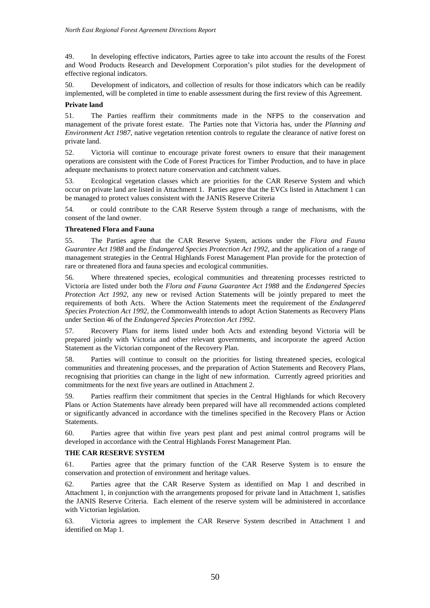49. In developing effective indicators, Parties agree to take into account the results of the Forest and Wood Products Research and Development Corporation's pilot studies for the development of effective regional indicators.

50. Development of indicators, and collection of results for those indicators which can be readily implemented, will be completed in time to enable assessment during the first review of this Agreement.

### **Private land**

51. The Parties reaffirm their commitments made in the NFPS to the conservation and management of the private forest estate. The Parties note that Victoria has, under the *Planning and Environment Act 1987*, native vegetation retention controls to regulate the clearance of native forest on private land.

52. Victoria will continue to encourage private forest owners to ensure that their management operations are consistent with the Code of Forest Practices for Timber Production, and to have in place adequate mechanisms to protect nature conservation and catchment values.

53. Ecological vegetation classes which are priorities for the CAR Reserve System and which occur on private land are listed in Attachment 1. Parties agree that the EVCs listed in Attachment 1 can be managed to protect values consistent with the JANIS Reserve Criteria

54. or could contribute to the CAR Reserve System through a range of mechanisms, with the consent of the land owner.

### **Threatened Flora and Fauna**

55. The Parties agree that the CAR Reserve System, actions under the *Flora and Fauna Guarantee Act 1988* and the *Endangered Species Protection Act 1992*, and the application of a range of management strategies in the Central Highlands Forest Management Plan provide for the protection of rare or threatened flora and fauna species and ecological communities.

56. Where threatened species, ecological communities and threatening processes restricted to Victoria are listed under both the *Flora and Fauna Guarantee Act 1988* and the *Endangered Species Protection Act 1992*, any new or revised Action Statements will be jointly prepared to meet the requirements of both Acts. Where the Action Statements meet the requirement of the *Endangered Species Protection Act 1992*, the Commonwealth intends to adopt Action Statements as Recovery Plans under Section 46 of the *Endangered Species Protection Act 1992*.

57. Recovery Plans for items listed under both Acts and extending beyond Victoria will be prepared jointly with Victoria and other relevant governments, and incorporate the agreed Action Statement as the Victorian component of the Recovery Plan.

58. Parties will continue to consult on the priorities for listing threatened species, ecological communities and threatening processes, and the preparation of Action Statements and Recovery Plans, recognising that priorities can change in the light of new information. Currently agreed priorities and commitments for the next five years are outlined in Attachment 2.

59. Parties reaffirm their commitment that species in the Central Highlands for which Recovery Plans or Action Statements have already been prepared will have all recommended actions completed or significantly advanced in accordance with the timelines specified in the Recovery Plans or Action Statements.

60. Parties agree that within five years pest plant and pest animal control programs will be developed in accordance with the Central Highlands Forest Management Plan.

### **THE CAR RESERVE SYSTEM**

61. Parties agree that the primary function of the CAR Reserve System is to ensure the conservation and protection of environment and heritage values.

62. Parties agree that the CAR Reserve System as identified on Map 1 and described in Attachment 1, in conjunction with the arrangements proposed for private land in Attachment 1, satisfies the JANIS Reserve Criteria. Each element of the reserve system will be administered in accordance with Victorian legislation.

63. Victoria agrees to implement the CAR Reserve System described in Attachment 1 and identified on Map 1.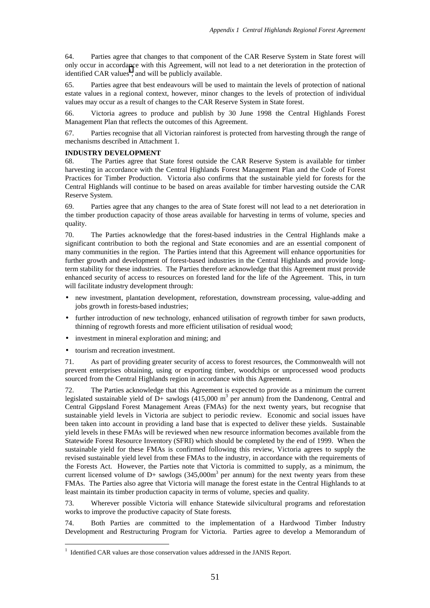64. Parties agree that changes to that component of the CAR Reserve System in State forest will only occur in accordance with this Agreement, will not lead to a net deterioration in the protection of identified CAR values<sup>1</sup>, and will be publicly available.

65. Parties agree that best endeavours will be used to maintain the levels of protection of national estate values in a regional context, however, minor changes to the levels of protection of individual values may occur as a result of changes to the CAR Reserve System in State forest.

66. Victoria agrees to produce and publish by 30 June 1998 the Central Highlands Forest Management Plan that reflects the outcomes of this Agreement.

67. Parties recognise that all Victorian rainforest is protected from harvesting through the range of mechanisms described in Attachment 1.

#### **INDUSTRY DEVELOPMENT**

68. The Parties agree that State forest outside the CAR Reserve System is available for timber harvesting in accordance with the Central Highlands Forest Management Plan and the Code of Forest Practices for Timber Production. Victoria also confirms that the sustainable yield for forests for the Central Highlands will continue to be based on areas available for timber harvesting outside the CAR Reserve System.

69. Parties agree that any changes to the area of State forest will not lead to a net deterioration in the timber production capacity of those areas available for harvesting in terms of volume, species and quality.

70. The Parties acknowledge that the forest-based industries in the Central Highlands make a significant contribution to both the regional and State economies and are an essential component of many communities in the region. The Parties intend that this Agreement will enhance opportunities for further growth and development of forest-based industries in the Central Highlands and provide longterm stability for these industries. The Parties therefore acknowledge that this Agreement must provide enhanced security of access to resources on forested land for the life of the Agreement. This, in turn will facilitate industry development through:

- new investment, plantation development, reforestation, downstream processing, value-adding and jobs growth in forests-based industries;
- further introduction of new technology, enhanced utilisation of regrowth timber for sawn products, thinning of regrowth forests and more efficient utilisation of residual wood;
- investment in mineral exploration and mining; and
- tourism and recreation investment.

<u>.</u>

71. As part of providing greater security of access to forest resources, the Commonwealth will not prevent enterprises obtaining, using or exporting timber, woodchips or unprocessed wood products sourced from the Central Highlands region in accordance with this Agreement.

72. The Parties acknowledge that this Agreement is expected to provide as a minimum the current legislated sustainable yield of D+ sawlogs  $(415,000 \text{ m}^3 \text{ per annum})$  from the Dandenong, Central and Central Gippsland Forest Management Areas (FMAs) for the next twenty years, but recognise that sustainable yield levels in Victoria are subject to periodic review. Economic and social issues have been taken into account in providing a land base that is expected to deliver these yields. Sustainable yield levels in these FMAs will be reviewed when new resource information becomes available from the Statewide Forest Resource Inventory (SFRI) which should be completed by the end of 1999. When the sustainable yield for these FMAs is confirmed following this review, Victoria agrees to supply the revised sustainable yield level from these FMAs to the industry, in accordance with the requirements of the Forests Act. However, the Parties note that Victoria is committed to supply, as a minimum, the current licensed volume of D+ sawlogs  $(345,000m<sup>3</sup>$  per annum) for the next twenty years from these FMAs. The Parties also agree that Victoria will manage the forest estate in the Central Highlands to at least maintain its timber production capacity in terms of volume, species and quality.

73. Wherever possible Victoria will enhance Statewide silvicultural programs and reforestation works to improve the productive capacity of State forests.

74. Both Parties are committed to the implementation of a Hardwood Timber Industry Development and Restructuring Program for Victoria. Parties agree to develop a Memorandum of

<sup>&</sup>lt;sup>1</sup> Identified CAR values are those conservation values addressed in the JANIS Report.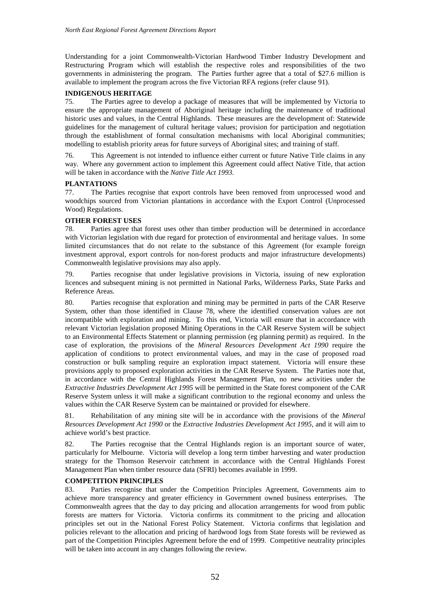Understanding for a joint Commonwealth-Victorian Hardwood Timber Industry Development and Restructuring Program which will establish the respective roles and responsibilities of the two governments in administering the program. The Parties further agree that a total of \$27.6 million is available to implement the program across the five Victorian RFA regions (refer clause 91).

## **INDIGENOUS HERITAGE**

75. The Parties agree to develop a package of measures that will be implemented by Victoria to ensure the appropriate management of Aboriginal heritage including the maintenance of traditional historic uses and values, in the Central Highlands. These measures are the development of: Statewide guidelines for the management of cultural heritage values; provision for participation and negotiation through the establishment of formal consultation mechanisms with local Aboriginal communities; modelling to establish priority areas for future surveys of Aboriginal sites; and training of staff.

76. This Agreement is not intended to influence either current or future Native Title claims in any way. Where any government action to implement this Agreement could affect Native Title, that action will be taken in accordance with the *Native Title Act 1993*.

### **PLANTATIONS**

77. The Parties recognise that export controls have been removed from unprocessed wood and woodchips sourced from Victorian plantations in accordance with the Export Control (Unprocessed Wood) Regulations.

## **OTHER FOREST USES**

78. Parties agree that forest uses other than timber production will be determined in accordance with Victorian legislation with due regard for protection of environmental and heritage values. In some limited circumstances that do not relate to the substance of this Agreement (for example foreign investment approval, export controls for non-forest products and major infrastructure developments) Commonwealth legislative provisions may also apply.

79. Parties recognise that under legislative provisions in Victoria, issuing of new exploration licences and subsequent mining is not permitted in National Parks, Wilderness Parks, State Parks and Reference Areas.

Parties recognise that exploration and mining may be permitted in parts of the CAR Reserve System, other than those identified in Clause 78, where the identified conservation values are not incompatible with exploration and mining. To this end, Victoria will ensure that in accordance with relevant Victorian legislation proposed Mining Operations in the CAR Reserve System will be subject to an Environmental Effects Statement or planning permission (eg planning permit) as required. In the case of exploration, the provisions of the *Mineral Resources Development Act 1990* require the application of conditions to protect environmental values, and may in the case of proposed road construction or bulk sampling require an exploration impact statement. Victoria will ensure these provisions apply to proposed exploration activities in the CAR Reserve System. The Parties note that, in accordance with the Central Highlands Forest Management Plan, no new activities under the *Extractive Industries Development Act 1995* will be permitted in the State forest component of the CAR Reserve System unless it will make a significant contribution to the regional economy and unless the values within the CAR Reserve System can be maintained or provided for elsewhere.

81. Rehabilitation of any mining site will be in accordance with the provisions of the *Mineral Resources Development Act 1990* or the *Extractive Industries Development Act 1995*, and it will aim to achieve world's best practice.

82. The Parties recognise that the Central Highlands region is an important source of water, particularly for Melbourne. Victoria will develop a long term timber harvesting and water production strategy for the Thomson Reservoir catchment in accordance with the Central Highlands Forest Management Plan when timber resource data (SFRI) becomes available in 1999.

### **COMPETITION PRINCIPLES**

83. Parties recognise that under the Competition Principles Agreement, Governments aim to achieve more transparency and greater efficiency in Government owned business enterprises. The Commonwealth agrees that the day to day pricing and allocation arrangements for wood from public forests are matters for Victoria. Victoria confirms its commitment to the pricing and allocation principles set out in the National Forest Policy Statement. Victoria confirms that legislation and policies relevant to the allocation and pricing of hardwood logs from State forests will be reviewed as part of the Competition Principles Agreement before the end of 1999. Competitive neutrality principles will be taken into account in any changes following the review.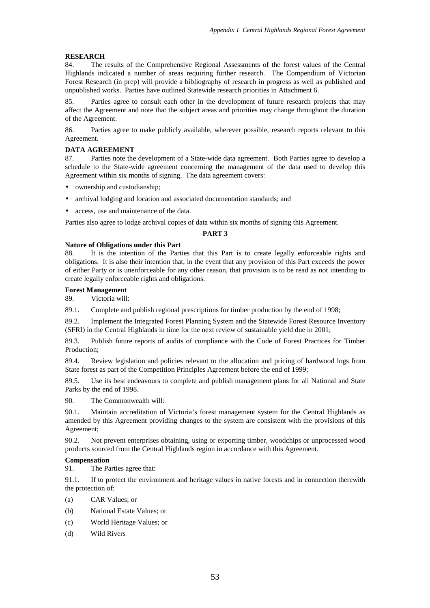### **RESEARCH**

84. The results of the Comprehensive Regional Assessments of the forest values of the Central Highlands indicated a number of areas requiring further research. The Compendium of Victorian Forest Research (in prep) will provide a bibliography of research in progress as well as published and unpublished works. Parties have outlined Statewide research priorities in Attachment 6.

85. Parties agree to consult each other in the development of future research projects that may affect the Agreement and note that the subject areas and priorities may change throughout the duration of the Agreement.

86. Parties agree to make publicly available, wherever possible, research reports relevant to this Agreement.

#### **DATA AGREEMENT**

87. Parties note the development of a State-wide data agreement. Both Parties agree to develop a schedule to the State-wide agreement concerning the management of the data used to develop this Agreement within six months of signing. The data agreement covers:

- ownership and custodianship;
- archival lodging and location and associated documentation standards; and
- access, use and maintenance of the data.

Parties also agree to lodge archival copies of data within six months of signing this Agreement.

### **PART 3**

#### **Nature of Obligations under this Part**

88. It is the intention of the Parties that this Part is to create legally enforceable rights and obligations. It is also their intention that, in the event that any provision of this Part exceeds the power of either Party or is unenforceable for any other reason, that provision is to be read as not intending to create legally enforceable rights and obligations.

#### **Forest Management**

89. Victoria will:

89.1. Complete and publish regional prescriptions for timber production by the end of 1998;

89.2. Implement the Integrated Forest Planning System and the Statewide Forest Resource Inventory (SFRI) in the Central Highlands in time for the next review of sustainable yield due in 2001;

89.3. Publish future reports of audits of compliance with the Code of Forest Practices for Timber Production;

89.4. Review legislation and policies relevant to the allocation and pricing of hardwood logs from State forest as part of the Competition Principles Agreement before the end of 1999;

89.5. Use its best endeavours to complete and publish management plans for all National and State Parks by the end of 1998.

90. The Commonwealth will:

90.1. Maintain accreditation of Victoria's forest management system for the Central Highlands as amended by this Agreement providing changes to the system are consistent with the provisions of this Agreement;

90.2. Not prevent enterprises obtaining, using or exporting timber, woodchips or unprocessed wood products sourced from the Central Highlands region in accordance with this Agreement.

#### **Compensation**

91. The Parties agree that:

91.1. If to protect the environment and heritage values in native forests and in connection therewith the protection of:

- (a) CAR Values; or
- (b) National Estate Values; or
- (c) World Heritage Values; or
- (d) Wild Rivers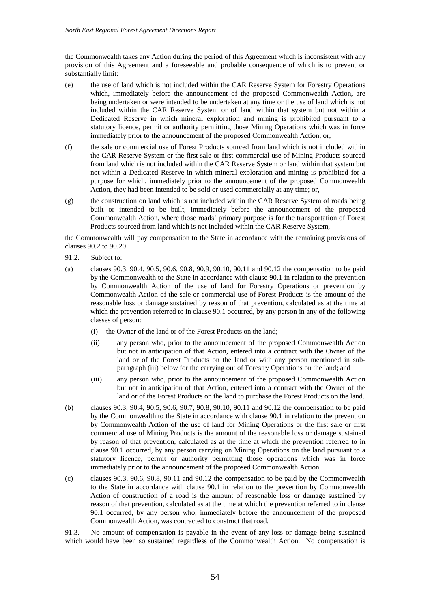the Commonwealth takes any Action during the period of this Agreement which is inconsistent with any provision of this Agreement and a foreseeable and probable consequence of which is to prevent or substantially limit:

- (e) the use of land which is not included within the CAR Reserve System for Forestry Operations which, immediately before the announcement of the proposed Commonwealth Action, are being undertaken or were intended to be undertaken at any time or the use of land which is not included within the CAR Reserve System or of land within that system but not within a Dedicated Reserve in which mineral exploration and mining is prohibited pursuant to a statutory licence, permit or authority permitting those Mining Operations which was in force immediately prior to the announcement of the proposed Commonwealth Action; or,
- (f) the sale or commercial use of Forest Products sourced from land which is not included within the CAR Reserve System or the first sale or first commercial use of Mining Products sourced from land which is not included within the CAR Reserve System or land within that system but not within a Dedicated Reserve in which mineral exploration and mining is prohibited for a purpose for which, immediately prior to the announcement of the proposed Commonwealth Action, they had been intended to be sold or used commercially at any time; or,
- (g) the construction on land which is not included within the CAR Reserve System of roads being built or intended to be built, immediately before the announcement of the proposed Commonwealth Action, where those roads' primary purpose is for the transportation of Forest Products sourced from land which is not included within the CAR Reserve System,

the Commonwealth will pay compensation to the State in accordance with the remaining provisions of clauses 90.2 to 90.20.

- 91.2. Subject to:
- (a) clauses 90.3, 90.4, 90.5, 90.6, 90.8, 90.9, 90.10, 90.11 and 90.12 the compensation to be paid by the Commonwealth to the State in accordance with clause 90.1 in relation to the prevention by Commonwealth Action of the use of land for Forestry Operations or prevention by Commonwealth Action of the sale or commercial use of Forest Products is the amount of the reasonable loss or damage sustained by reason of that prevention, calculated as at the time at which the prevention referred to in clause 90.1 occurred, by any person in any of the following classes of person:
	- (i) the Owner of the land or of the Forest Products on the land;
	- (ii) any person who, prior to the announcement of the proposed Commonwealth Action but not in anticipation of that Action, entered into a contract with the Owner of the land or of the Forest Products on the land or with any person mentioned in subparagraph (iii) below for the carrying out of Forestry Operations on the land; and
	- (iii) any person who, prior to the announcement of the proposed Commonwealth Action but not in anticipation of that Action, entered into a contract with the Owner of the land or of the Forest Products on the land to purchase the Forest Products on the land.
- (b) clauses 90.3, 90.4, 90.5, 90.6, 90.7, 90.8, 90.10, 90.11 and 90.12 the compensation to be paid by the Commonwealth to the State in accordance with clause 90.1 in relation to the prevention by Commonwealth Action of the use of land for Mining Operations or the first sale or first commercial use of Mining Products is the amount of the reasonable loss or damage sustained by reason of that prevention, calculated as at the time at which the prevention referred to in clause 90.1 occurred, by any person carrying on Mining Operations on the land pursuant to a statutory licence, permit or authority permitting those operations which was in force immediately prior to the announcement of the proposed Commonwealth Action.
- (c) clauses 90.3, 90.6, 90.8, 90.11 and 90.12 the compensation to be paid by the Commonwealth to the State in accordance with clause 90.1 in relation to the prevention by Commonwealth Action of construction of a road is the amount of reasonable loss or damage sustained by reason of that prevention, calculated as at the time at which the prevention referred to in clause 90.1 occurred, by any person who, immediately before the announcement of the proposed Commonwealth Action, was contracted to construct that road.

91.3. No amount of compensation is payable in the event of any loss or damage being sustained which would have been so sustained regardless of the Commonwealth Action. No compensation is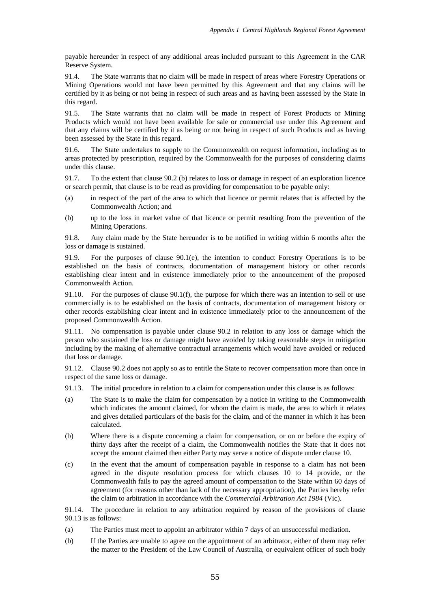payable hereunder in respect of any additional areas included pursuant to this Agreement in the CAR Reserve System.

91.4. The State warrants that no claim will be made in respect of areas where Forestry Operations or Mining Operations would not have been permitted by this Agreement and that any claims will be certified by it as being or not being in respect of such areas and as having been assessed by the State in this regard.

91.5. The State warrants that no claim will be made in respect of Forest Products or Mining Products which would not have been available for sale or commercial use under this Agreement and that any claims will be certified by it as being or not being in respect of such Products and as having been assessed by the State in this regard.

91.6. The State undertakes to supply to the Commonwealth on request information, including as to areas protected by prescription, required by the Commonwealth for the purposes of considering claims under this clause.

91.7. To the extent that clause 90.2 (b) relates to loss or damage in respect of an exploration licence or search permit, that clause is to be read as providing for compensation to be payable only:

- (a) in respect of the part of the area to which that licence or permit relates that is affected by the Commonwealth Action; and
- (b) up to the loss in market value of that licence or permit resulting from the prevention of the Mining Operations.

91.8. Any claim made by the State hereunder is to be notified in writing within 6 months after the loss or damage is sustained.

91.9. For the purposes of clause 90.1(e), the intention to conduct Forestry Operations is to be established on the basis of contracts, documentation of management history or other records establishing clear intent and in existence immediately prior to the announcement of the proposed Commonwealth Action.

91.10. For the purposes of clause 90.1(f), the purpose for which there was an intention to sell or use commercially is to be established on the basis of contracts, documentation of management history or other records establishing clear intent and in existence immediately prior to the announcement of the proposed Commonwealth Action.

91.11. No compensation is payable under clause 90.2 in relation to any loss or damage which the person who sustained the loss or damage might have avoided by taking reasonable steps in mitigation including by the making of alternative contractual arrangements which would have avoided or reduced that loss or damage.

91.12. Clause 90.2 does not apply so as to entitle the State to recover compensation more than once in respect of the same loss or damage.

- 91.13. The initial procedure in relation to a claim for compensation under this clause is as follows:
- (a) The State is to make the claim for compensation by a notice in writing to the Commonwealth which indicates the amount claimed, for whom the claim is made, the area to which it relates and gives detailed particulars of the basis for the claim, and of the manner in which it has been calculated.
- (b) Where there is a dispute concerning a claim for compensation, or on or before the expiry of thirty days after the receipt of a claim, the Commonwealth notifies the State that it does not accept the amount claimed then either Party may serve a notice of dispute under clause 10.
- (c) In the event that the amount of compensation payable in response to a claim has not been agreed in the dispute resolution process for which clauses 10 to 14 provide, or the Commonwealth fails to pay the agreed amount of compensation to the State within 60 days of agreement (for reasons other than lack of the necessary appropriation), the Parties hereby refer the claim to arbitration in accordance with the *Commercial Arbitration Act 1984* (Vic).

91.14. The procedure in relation to any arbitration required by reason of the provisions of clause 90.13 is as follows:

- (a) The Parties must meet to appoint an arbitrator within 7 days of an unsuccessful mediation.
- (b) If the Parties are unable to agree on the appointment of an arbitrator, either of them may refer the matter to the President of the Law Council of Australia, or equivalent officer of such body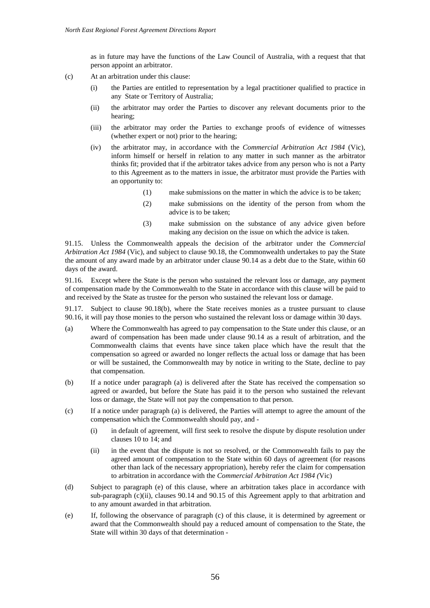as in future may have the functions of the Law Council of Australia, with a request that that person appoint an arbitrator.

- (c) At an arbitration under this clause:
	- (i) the Parties are entitled to representation by a legal practitioner qualified to practice in any State or Territory of Australia;
	- (ii) the arbitrator may order the Parties to discover any relevant documents prior to the hearing;
	- (iii) the arbitrator may order the Parties to exchange proofs of evidence of witnesses (whether expert or not) prior to the hearing;
	- (iv) the arbitrator may, in accordance with the *Commercial Arbitration Act 1984* (Vic), inform himself or herself in relation to any matter in such manner as the arbitrator thinks fit; provided that if the arbitrator takes advice from any person who is not a Party to this Agreement as to the matters in issue, the arbitrator must provide the Parties with an opportunity to:
		- (1) make submissions on the matter in which the advice is to be taken;
		- (2) make submissions on the identity of the person from whom the advice is to be taken;
		- (3) make submission on the substance of any advice given before making any decision on the issue on which the advice is taken.

91.15. Unless the Commonwealth appeals the decision of the arbitrator under the *Commercial Arbitration Act 1984* (Vic), and subject to clause 90.18, the Commonwealth undertakes to pay the State the amount of any award made by an arbitrator under clause 90.14 as a debt due to the State, within 60 days of the award.

91.16. Except where the State is the person who sustained the relevant loss or damage, any payment of compensation made by the Commonwealth to the State in accordance with this clause will be paid to and received by the State as trustee for the person who sustained the relevant loss or damage.

91.17. Subject to clause 90.18(b), where the State receives monies as a trustee pursuant to clause 90.16, it will pay those monies to the person who sustained the relevant loss or damage within 30 days.

- (a) Where the Commonwealth has agreed to pay compensation to the State under this clause, or an award of compensation has been made under clause 90.14 as a result of arbitration, and the Commonwealth claims that events have since taken place which have the result that the compensation so agreed or awarded no longer reflects the actual loss or damage that has been or will be sustained, the Commonwealth may by notice in writing to the State, decline to pay that compensation.
- (b) If a notice under paragraph (a) is delivered after the State has received the compensation so agreed or awarded, but before the State has paid it to the person who sustained the relevant loss or damage, the State will not pay the compensation to that person.
- (c) If a notice under paragraph (a) is delivered, the Parties will attempt to agree the amount of the compensation which the Commonwealth should pay, and -
	- (i) in default of agreement, will first seek to resolve the dispute by dispute resolution under clauses 10 to 14; and
	- (ii) in the event that the dispute is not so resolved, or the Commonwealth fails to pay the agreed amount of compensation to the State within 60 days of agreement (for reasons other than lack of the necessary appropriation), hereby refer the claim for compensation to arbitration in accordance with the *Commercial Arbitration Act 1984 (*Vic)
- (d) Subject to paragraph (e) of this clause, where an arbitration takes place in accordance with sub-paragraph (c)(ii), clauses 90.14 and 90.15 of this Agreement apply to that arbitration and to any amount awarded in that arbitration.
- (e) If, following the observance of paragraph (c) of this clause, it is determined by agreement or award that the Commonwealth should pay a reduced amount of compensation to the State, the State will within 30 days of that determination -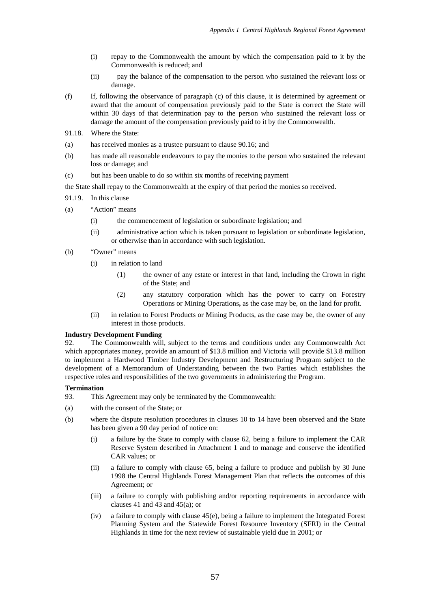- (i) repay to the Commonwealth the amount by which the compensation paid to it by the Commonwealth is reduced; and
- (ii) pay the balance of the compensation to the person who sustained the relevant loss or damage.
- (f) If, following the observance of paragraph (c) of this clause, it is determined by agreement or award that the amount of compensation previously paid to the State is correct the State will within 30 days of that determination pay to the person who sustained the relevant loss or damage the amount of the compensation previously paid to it by the Commonwealth.
- 91.18. Where the State:
- (a) has received monies as a trustee pursuant to clause 90.16; and
- (b) has made all reasonable endeavours to pay the monies to the person who sustained the relevant loss or damage; and
- (c) but has been unable to do so within six months of receiving payment
- the State shall repay to the Commonwealth at the expiry of that period the monies so received.
- 91.19. In this clause
- (a) "Action" means
	- (i) the commencement of legislation or subordinate legislation; and
	- (ii) administrative action which is taken pursuant to legislation or subordinate legislation, or otherwise than in accordance with such legislation.
- (b) "Owner" means
	- (i) in relation to land
		- (1) the owner of any estate or interest in that land, including the Crown in right of the State; and
		- (2) any statutory corporation which has the power to carry on Forestry Operations or Mining Operations**,** as the case may be, on the land for profit.
	- (ii) in relation to Forest Products or Mining Products, as the case may be, the owner of any interest in those products.

#### **Industry Development Funding**

92. The Commonwealth will, subject to the terms and conditions under any Commonwealth Act which appropriates money, provide an amount of \$13.8 million and Victoria will provide \$13.8 million to implement a Hardwood Timber Industry Development and Restructuring Program subject to the development of a Memorandum of Understanding between the two Parties which establishes the respective roles and responsibilities of the two governments in administering the Program.

#### **Termination**

- 93. This Agreement may only be terminated by the Commonwealth:
- (a) with the consent of the State; or
- (b) where the dispute resolution procedures in clauses 10 to 14 have been observed and the State has been given a 90 day period of notice on:
	- (i) a failure by the State to comply with clause 62, being a failure to implement the CAR Reserve System described in Attachment 1 and to manage and conserve the identified CAR values; or
	- (ii) a failure to comply with clause 65, being a failure to produce and publish by 30 June 1998 the Central Highlands Forest Management Plan that reflects the outcomes of this Agreement; or
	- (iii) a failure to comply with publishing and/or reporting requirements in accordance with clauses 41 and 43 and 45(a); or
	- (iv) a failure to comply with clause 45(e), being a failure to implement the Integrated Forest Planning System and the Statewide Forest Resource Inventory (SFRI) in the Central Highlands in time for the next review of sustainable yield due in 2001; or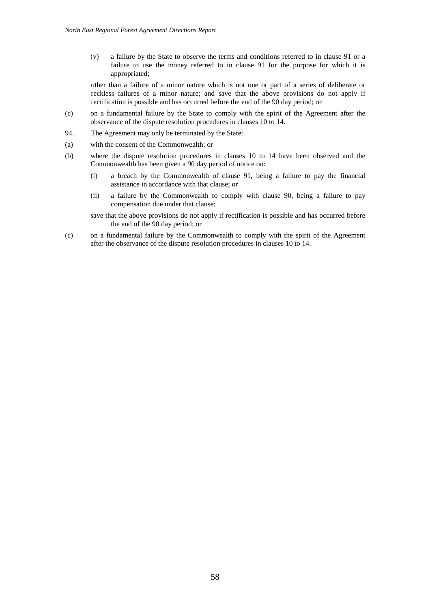(v) a failure by the State to observe the terms and conditions referred to in clause 91 or a failure to use the money referred to in clause 91 for the purpose for which it is appropriated;

other than a failure of a minor nature which is not one or part of a series of deliberate or reckless failures of a minor nature; and save that the above provisions do not apply if rectification is possible and has occurred before the end of the 90 day period; or

- (c) on a fundamental failure by the State to comply with the spirit of the Agreement after the observance of the dispute resolution procedures in clauses 10 to 14.
- 94. The Agreement may only be terminated by the State:
- (a) with the consent of the Commonwealth; or
- (b) where the dispute resolution procedures in clauses 10 to 14 have been observed and the Commonwealth has been given a 90 day period of notice on:
	- (i) a breach by the Commonwealth of clause 91**,** being a failure to pay the financial assistance in accordance with that clause; or
	- (ii) a failure by the Commonwealth to comply with clause 90, being a failure to pay compensation due under that clause;

save that the above provisions do not apply if rectification is possible and has occurred before the end of the 90 day period; or

(c) on a fundamental failure by the Commonwealth to comply with the spirit of the Agreement after the observance of the dispute resolution procedures in clauses 10 to 14.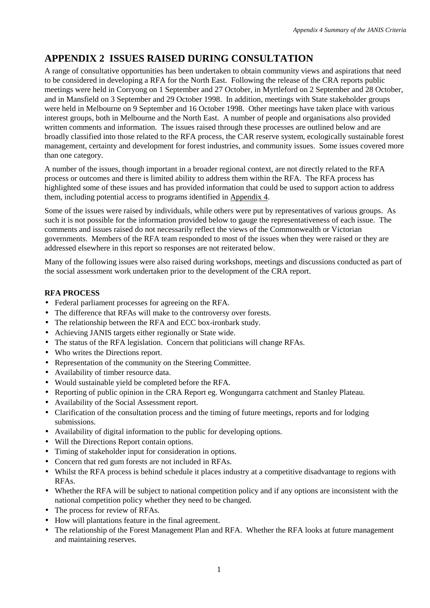# **APPENDIX 2 ISSUES RAISED DURING CONSULTATION**

A range of consultative opportunities has been undertaken to obtain community views and aspirations that need to be considered in developing a RFA for the North East. Following the release of the CRA reports public meetings were held in Corryong on 1 September and 27 October, in Myrtleford on 2 September and 28 October, and in Mansfield on 3 September and 29 October 1998. In addition, meetings with State stakeholder groups were held in Melbourne on 9 September and 16 October 1998. Other meetings have taken place with various interest groups, both in Melbourne and the North East. A number of people and organisations also provided written comments and information. The issues raised through these processes are outlined below and are broadly classified into those related to the RFA process, the CAR reserve system, ecologically sustainable forest management, certainty and development for forest industries, and community issues. Some issues covered more than one category.

A number of the issues, though important in a broader regional context, are not directly related to the RFA process or outcomes and there is limited ability to address them within the RFA. The RFA process has highlighted some of these issues and has provided information that could be used to support action to address them, including potential access to programs identified in Appendix 4.

Some of the issues were raised by individuals, while others were put by representatives of various groups. As such it is not possible for the information provided below to gauge the representativeness of each issue. The comments and issues raised do not necessarily reflect the views of the Commonwealth or Victorian governments. Members of the RFA team responded to most of the issues when they were raised or they are addressed elsewhere in this report so responses are not reiterated below.

Many of the following issues were also raised during workshops, meetings and discussions conducted as part of the social assessment work undertaken prior to the development of the CRA report.

# **RFA PROCESS**

- Federal parliament processes for agreeing on the RFA.
- The difference that RFAs will make to the controversy over forests.
- The relationship between the RFA and ECC box-ironbark study.
- Achieving JANIS targets either regionally or State wide.
- The status of the RFA legislation. Concern that politicians will change RFAs.
- Who writes the Directions report.
- Representation of the community on the Steering Committee.
- Availability of timber resource data.
- Would sustainable yield be completed before the RFA.
- Reporting of public opinion in the CRA Report eg. Wongungarra catchment and Stanley Plateau.
- Availability of the Social Assessment report.
- Clarification of the consultation process and the timing of future meetings, reports and for lodging submissions.
- Availability of digital information to the public for developing options.
- Will the Directions Report contain options.
- Timing of stakeholder input for consideration in options.
- Concern that red gum forests are not included in RFAs.
- Whilst the RFA process is behind schedule it places industry at a competitive disadvantage to regions with RFAs.
- Whether the RFA will be subject to national competition policy and if any options are inconsistent with the national competition policy whether they need to be changed.
- The process for review of RFAs.
- How will plantations feature in the final agreement.
- The relationship of the Forest Management Plan and RFA. Whether the RFA looks at future management and maintaining reserves.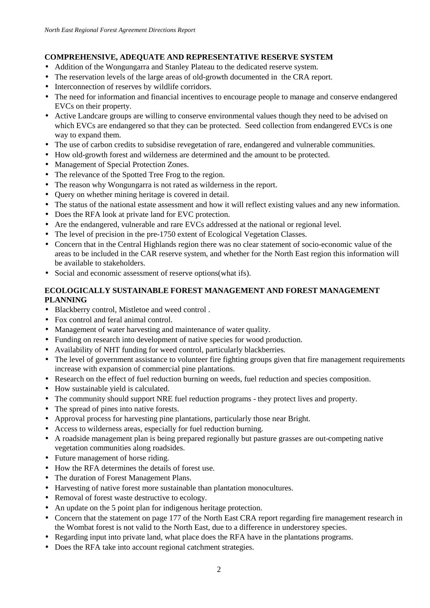# **COMPREHENSIVE, ADEQUATE AND REPRESENTATIVE RESERVE SYSTEM**

- Addition of the Wongungarra and Stanley Plateau to the dedicated reserve system.
- The reservation levels of the large areas of old-growth documented in the CRA report.
- Interconnection of reserves by wildlife corridors.
- The need for information and financial incentives to encourage people to manage and conserve endangered EVCs on their property.
- Active Landcare groups are willing to conserve environmental values though they need to be advised on which EVCs are endangered so that they can be protected. Seed collection from endangered EVCs is one way to expand them.
- The use of carbon credits to subsidise revegetation of rare, endangered and vulnerable communities.
- How old-growth forest and wilderness are determined and the amount to be protected.
- Management of Special Protection Zones.
- The relevance of the Spotted Tree Frog to the region.
- The reason why Wongungarra is not rated as wilderness in the report.
- Query on whether mining heritage is covered in detail.
- The status of the national estate assessment and how it will reflect existing values and any new information.
- Does the RFA look at private land for EVC protection.
- Are the endangered, vulnerable and rare EVCs addressed at the national or regional level.
- The level of precision in the pre-1750 extent of Ecological Vegetation Classes.
- Concern that in the Central Highlands region there was no clear statement of socio-economic value of the areas to be included in the CAR reserve system, and whether for the North East region this information will be available to stakeholders.
- Social and economic assessment of reserve options(what ifs).

# **ECOLOGICALLY SUSTAINABLE FOREST MANAGEMENT AND FOREST MANAGEMENT PLANNING**

- Blackberry control, Mistletoe and weed control .
- Fox control and feral animal control.
- Management of water harvesting and maintenance of water quality.
- Funding on research into development of native species for wood production.
- Availability of NHT funding for weed control, particularly blackberries.
- The level of government assistance to volunteer fire fighting groups given that fire management requirements increase with expansion of commercial pine plantations.
- Research on the effect of fuel reduction burning on weeds, fuel reduction and species composition.
- How sustainable yield is calculated.
- The community should support NRE fuel reduction programs they protect lives and property.
- The spread of pines into native forests.
- Approval process for harvesting pine plantations, particularly those near Bright.
- Access to wilderness areas, especially for fuel reduction burning.
- A roadside management plan is being prepared regionally but pasture grasses are out-competing native vegetation communities along roadsides.
- Future management of horse riding.
- How the RFA determines the details of forest use.
- The duration of Forest Management Plans.
- Harvesting of native forest more sustainable than plantation monocultures.
- Removal of forest waste destructive to ecology.
- An update on the 5 point plan for indigenous heritage protection.
- Concern that the statement on page 177 of the North East CRA report regarding fire management research in the Wombat forest is not valid to the North East, due to a difference in understorey species.
- Regarding input into private land, what place does the RFA have in the plantations programs.
- Does the RFA take into account regional catchment strategies.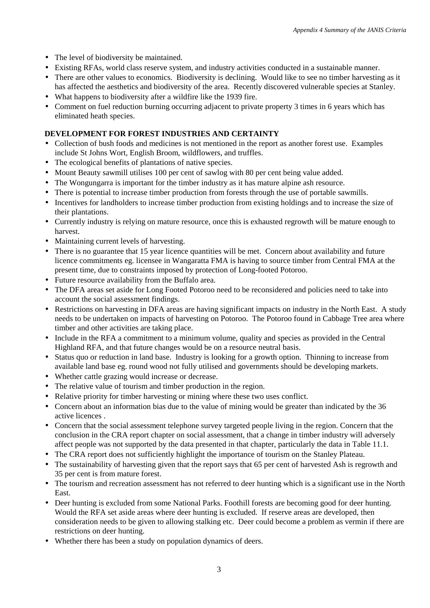- The level of biodiversity be maintained.
- Existing RFAs, world class reserve system, and industry activities conducted in a sustainable manner.
- There are other values to economics. Biodiversity is declining. Would like to see no timber harvesting as it has affected the aesthetics and biodiversity of the area. Recently discovered vulnerable species at Stanley.
- What happens to biodiversity after a wildfire like the 1939 fire.
- Comment on fuel reduction burning occurring adjacent to private property 3 times in 6 years which has eliminated heath species.

# **DEVELOPMENT FOR FOREST INDUSTRIES AND CERTAINTY**

- Collection of bush foods and medicines is not mentioned in the report as another forest use. Examples include St Johns Wort, English Broom, wildflowers, and truffles.
- The ecological benefits of plantations of native species.
- Mount Beauty sawmill utilises 100 per cent of sawlog with 80 per cent being value added.
- The Wongungarra is important for the timber industry as it has mature alpine ash resource.
- There is potential to increase timber production from forests through the use of portable sawmills.
- Incentives for landholders to increase timber production from existing holdings and to increase the size of their plantations.
- Currently industry is relying on mature resource, once this is exhausted regrowth will be mature enough to harvest.
- Maintaining current levels of harvesting.
- There is no guarantee that 15 year licence quantities will be met. Concern about availability and future licence commitments eg. licensee in Wangaratta FMA is having to source timber from Central FMA at the present time, due to constraints imposed by protection of Long-footed Potoroo.
- Future resource availability from the Buffalo area.
- The DFA areas set aside for Long Footed Potoroo need to be reconsidered and policies need to take into account the social assessment findings.
- Restrictions on harvesting in DFA areas are having significant impacts on industry in the North East. A study needs to be undertaken on impacts of harvesting on Potoroo. The Potoroo found in Cabbage Tree area where timber and other activities are taking place.
- Include in the RFA a commitment to a minimum volume, quality and species as provided in the Central Highland RFA, and that future changes would be on a resource neutral basis.
- Status quo or reduction in land base. Industry is looking for a growth option. Thinning to increase from available land base eg. round wood not fully utilised and governments should be developing markets.
- Whether cattle grazing would increase or decrease.
- The relative value of tourism and timber production in the region.
- Relative priority for timber harvesting or mining where these two uses conflict.
- Concern about an information bias due to the value of mining would be greater than indicated by the 36 active licences .
- Concern that the social assessment telephone survey targeted people living in the region. Concern that the conclusion in the CRA report chapter on social assessment, that a change in timber industry will adversely affect people was not supported by the data presented in that chapter, particularly the data in Table 11.1.
- The CRA report does not sufficiently highlight the importance of tourism on the Stanley Plateau.
- The sustainability of harvesting given that the report says that 65 per cent of harvested Ash is regrowth and 35 per cent is from mature forest.
- The tourism and recreation assessment has not referred to deer hunting which is a significant use in the North East.
- Deer hunting is excluded from some National Parks. Foothill forests are becoming good for deer hunting. Would the RFA set aside areas where deer hunting is excluded. If reserve areas are developed, then consideration needs to be given to allowing stalking etc. Deer could become a problem as vermin if there are restrictions on deer hunting.
- Whether there has been a study on population dynamics of deers.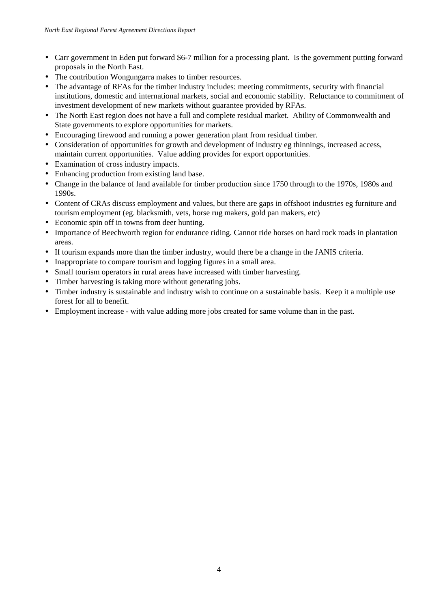- Carr government in Eden put forward \$6-7 million for a processing plant. Is the government putting forward proposals in the North East.
- The contribution Wongungarra makes to timber resources.
- The advantage of RFAs for the timber industry includes: meeting commitments, security with financial institutions, domestic and international markets, social and economic stability. Reluctance to commitment of investment development of new markets without guarantee provided by RFAs.
- The North East region does not have a full and complete residual market. Ability of Commonwealth and State governments to explore opportunities for markets.
- Encouraging firewood and running a power generation plant from residual timber.
- Consideration of opportunities for growth and development of industry eg thinnings, increased access, maintain current opportunities. Value adding provides for export opportunities.
- Examination of cross industry impacts.
- Enhancing production from existing land base.
- Change in the balance of land available for timber production since 1750 through to the 1970s, 1980s and 1990s.
- Content of CRAs discuss employment and values, but there are gaps in offshoot industries eg furniture and tourism employment (eg. blacksmith, vets, horse rug makers, gold pan makers, etc)
- Economic spin off in towns from deer hunting.
- Importance of Beechworth region for endurance riding. Cannot ride horses on hard rock roads in plantation areas.
- If tourism expands more than the timber industry, would there be a change in the JANIS criteria.
- Inappropriate to compare tourism and logging figures in a small area.
- Small tourism operators in rural areas have increased with timber harvesting.
- Timber harvesting is taking more without generating jobs.
- Timber industry is sustainable and industry wish to continue on a sustainable basis. Keep it a multiple use forest for all to benefit.
- Employment increase with value adding more jobs created for same volume than in the past.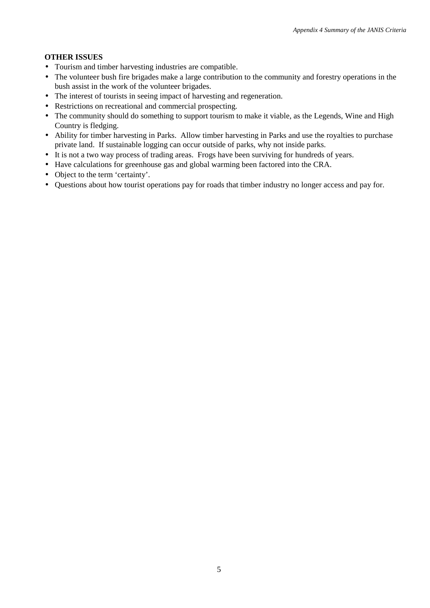# **OTHER ISSUES**

- Tourism and timber harvesting industries are compatible.
- The volunteer bush fire brigades make a large contribution to the community and forestry operations in the bush assist in the work of the volunteer brigades.
- The interest of tourists in seeing impact of harvesting and regeneration.
- Restrictions on recreational and commercial prospecting.
- The community should do something to support tourism to make it viable, as the Legends, Wine and High Country is fledging.
- Ability for timber harvesting in Parks. Allow timber harvesting in Parks and use the royalties to purchase private land. If sustainable logging can occur outside of parks, why not inside parks.
- It is not a two way process of trading areas. Frogs have been surviving for hundreds of years.
- Have calculations for greenhouse gas and global warming been factored into the CRA.
- Object to the term 'certainty'.
- Questions about how tourist operations pay for roads that timber industry no longer access and pay for.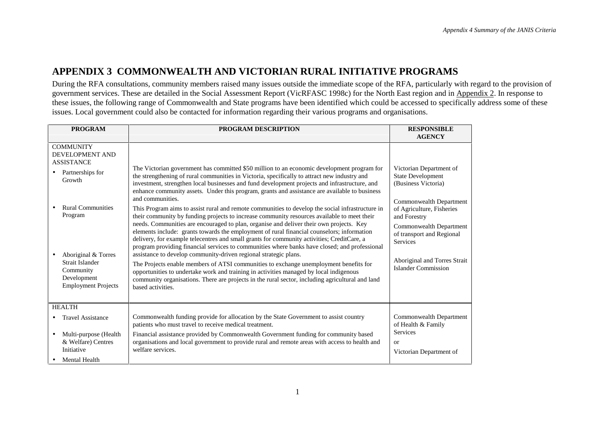# **APPENDIX 3 COMMONWEALTH AND VICTORIAN RURAL INITIATIVE PROGRAMS**

During the RFA consultations, community members raised many issues outside the immediate scope of the RFA, particularly with regard to the provision of government services. These are detailed in the Social Assessment Report (VicRFASC 1998c) for the North East region and in Appendix 2. In response to these issues, the following range of Commonwealth and State programs have been identified which could be accessed to specifically address some of these issues. Local government could also be contacted for information regarding their various programs and organisations.

| <b>PROGRAM</b>                                                                                                                                                                                                                           | PROGRAM DESCRIPTION                                                                                                                                                                                                                                                                                                                                                                                                                                                                                                                                                                                                                                                                                                                                                                                                                                                                                                                                                                                                                                                                                                                                                                                                                                                                                                                                                                         | <b>RESPONSIBLE</b><br><b>AGENCY</b>                                                                                                                                                                                                                                                  |
|------------------------------------------------------------------------------------------------------------------------------------------------------------------------------------------------------------------------------------------|---------------------------------------------------------------------------------------------------------------------------------------------------------------------------------------------------------------------------------------------------------------------------------------------------------------------------------------------------------------------------------------------------------------------------------------------------------------------------------------------------------------------------------------------------------------------------------------------------------------------------------------------------------------------------------------------------------------------------------------------------------------------------------------------------------------------------------------------------------------------------------------------------------------------------------------------------------------------------------------------------------------------------------------------------------------------------------------------------------------------------------------------------------------------------------------------------------------------------------------------------------------------------------------------------------------------------------------------------------------------------------------------|--------------------------------------------------------------------------------------------------------------------------------------------------------------------------------------------------------------------------------------------------------------------------------------|
| <b>COMMUNITY</b><br><b>DEVELOPMENT AND</b><br><b>ASSISTANCE</b><br>Partnerships for<br>Growth<br><b>Rural Communities</b><br>Program<br>Aboriginal & Torres<br>Strait Islander<br>Community<br>Development<br><b>Employment Projects</b> | The Victorian government has committed \$50 million to an economic development program for<br>the strengthening of rural communities in Victoria, specifically to attract new industry and<br>investment, strengthen local businesses and fund development projects and infrastructure, and<br>enhance community assets. Under this program, grants and assistance are available to business<br>and communities.<br>This Program aims to assist rural and remote communities to develop the social infrastructure in<br>their community by funding projects to increase community resources available to meet their<br>needs. Communities are encouraged to plan, organise and deliver their own projects. Key<br>elements include: grants towards the employment of rural financial counselors; information<br>delivery, for example telecentres and small grants for community activities; CreditCare, a<br>program providing financial services to communities where banks have closed; and professional<br>assistance to develop community-driven regional strategic plans.<br>The Projects enable members of ATSI communities to exchange unemployment benefits for<br>opportunities to undertake work and training in activities managed by local indigenous<br>community organisations. There are projects in the rural sector, including agricultural and land<br>based activities. | Victorian Department of<br><b>State Development</b><br>(Business Victoria)<br>Commonwealth Department<br>of Agriculture, Fisheries<br>and Forestry<br>Commonwealth Department<br>of transport and Regional<br>Services<br>Aboriginal and Torres Strait<br><b>Islander Commission</b> |
| <b>HEALTH</b><br><b>Travel Assistance</b>                                                                                                                                                                                                | Commonwealth funding provide for allocation by the State Government to assist country<br>patients who must travel to receive medical treatment.                                                                                                                                                                                                                                                                                                                                                                                                                                                                                                                                                                                                                                                                                                                                                                                                                                                                                                                                                                                                                                                                                                                                                                                                                                             | Commonwealth Department<br>of Health & Family<br><b>Services</b>                                                                                                                                                                                                                     |
| Multi-purpose (Health<br>$\bullet$<br>& Welfare) Centres<br>Initiative<br><b>Mental Health</b>                                                                                                                                           | Financial assistance provided by Commonwealth Government funding for community based<br>organisations and local government to provide rural and remote areas with access to health and<br>welfare services.                                                                                                                                                                                                                                                                                                                                                                                                                                                                                                                                                                                                                                                                                                                                                                                                                                                                                                                                                                                                                                                                                                                                                                                 | $\alpha$<br>Victorian Department of                                                                                                                                                                                                                                                  |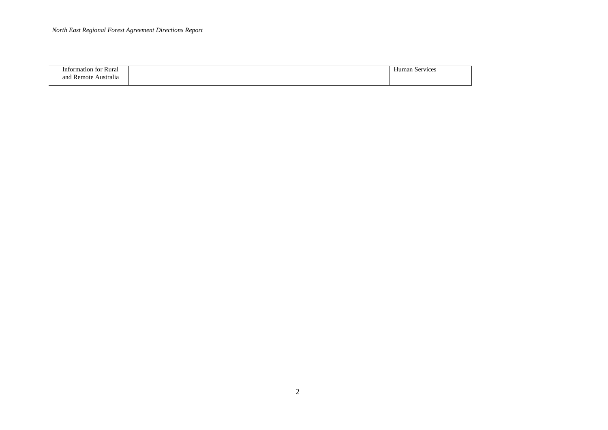| tormation<br>Rura.<br>t∩t      | $\sim$<br>service:<br>4D. |
|--------------------------------|---------------------------|
| -<br>and<br>Australia<br>emote |                           |

 $\overline{\phantom{0}}$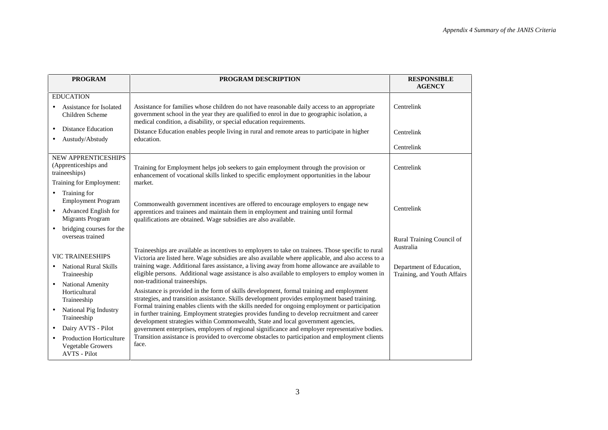| <b>PROGRAM</b>                                                             | PROGRAM DESCRIPTION                                                                                                                                                                                                                                                                 | <b>RESPONSIBLE</b><br><b>AGENCY</b>                     |
|----------------------------------------------------------------------------|-------------------------------------------------------------------------------------------------------------------------------------------------------------------------------------------------------------------------------------------------------------------------------------|---------------------------------------------------------|
| <b>EDUCATION</b>                                                           |                                                                                                                                                                                                                                                                                     |                                                         |
| Assistance for Isolated<br>Children Scheme                                 | Assistance for families whose children do not have reasonable daily access to an appropriate<br>government school in the year they are qualified to enrol in due to geographic isolation, a<br>medical condition, a disability, or special education requirements.                  | Centrelink                                              |
| <b>Distance Education</b><br>$\bullet$                                     | Distance Education enables people living in rural and remote areas to participate in higher                                                                                                                                                                                         | Centrelink                                              |
| Austudy/Abstudy<br>$\bullet$                                               | education.                                                                                                                                                                                                                                                                          |                                                         |
|                                                                            |                                                                                                                                                                                                                                                                                     | Centrelink                                              |
| <b>NEW APPRENTICESHIPS</b><br>(Apprenticeships and<br>traineeships)        | Training for Employment helps job seekers to gain employment through the provision or<br>enhancement of vocational skills linked to specific employment opportunities in the labour                                                                                                 | Centrelink                                              |
| Training for Employment:                                                   | market.                                                                                                                                                                                                                                                                             |                                                         |
| Training for<br>$\bullet$<br><b>Employment Program</b>                     | Commonwealth government incentives are offered to encourage employers to engage new                                                                                                                                                                                                 |                                                         |
| Advanced English for<br><b>Migrants Program</b>                            | apprentices and trainees and maintain them in employment and training until formal<br>qualifications are obtained. Wage subsidies are also available.                                                                                                                               | Centrelink                                              |
| bridging courses for the<br>$\bullet$<br>overseas trained                  |                                                                                                                                                                                                                                                                                     | Rural Training Council of                               |
| <b>VIC TRAINEESHIPS</b>                                                    | Traineeships are available as incentives to employers to take on trainees. Those specific to rural                                                                                                                                                                                  | Australia                                               |
|                                                                            | Victoria are listed here. Wage subsidies are also available where applicable, and also access to a<br>training wage. Additional fares assistance, a living away from home allowance are available to                                                                                |                                                         |
| <b>National Rural Skills</b><br>$\bullet$<br>Traineeship                   | eligible persons. Additional wage assistance is also available to employers to employ women in                                                                                                                                                                                      | Department of Education,<br>Training, and Youth Affairs |
| <b>National Amenity</b><br>Horticultural                                   | non-traditional traineeships.<br>Assistance is provided in the form of skills development, formal training and employment                                                                                                                                                           |                                                         |
| Traineeship                                                                | strategies, and transition assistance. Skills development provides employment based training.                                                                                                                                                                                       |                                                         |
| National Pig Industry<br>$\bullet$<br>Traineeship                          | Formal training enables clients with the skills needed for ongoing employment or participation<br>in further training. Employment strategies provides funding to develop recruitment and career<br>development strategies within Commonwealth, State and local government agencies, |                                                         |
| Dairy AVTS - Pilot<br>$\bullet$                                            | government enterprises, employers of regional significance and employer representative bodies.                                                                                                                                                                                      |                                                         |
| <b>Production Horticulture</b><br><b>Vegetable Growers</b><br>AVTS - Pilot | Transition assistance is provided to overcome obstacles to participation and employment clients<br>face.                                                                                                                                                                            |                                                         |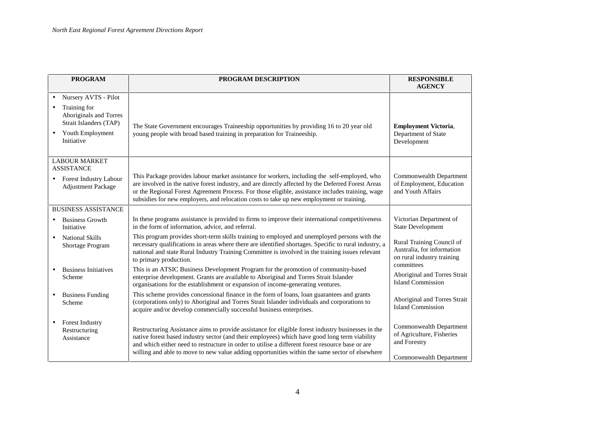| <b>PROGRAM</b>                                                                                                                          | <b>PROGRAM DESCRIPTION</b>                                                                                                                                                                                                                                                                                                                                                                                | <b>RESPONSIBLE</b>                                                                                  |
|-----------------------------------------------------------------------------------------------------------------------------------------|-----------------------------------------------------------------------------------------------------------------------------------------------------------------------------------------------------------------------------------------------------------------------------------------------------------------------------------------------------------------------------------------------------------|-----------------------------------------------------------------------------------------------------|
|                                                                                                                                         |                                                                                                                                                                                                                                                                                                                                                                                                           | <b>AGENCY</b>                                                                                       |
| Nursery AVTS - Pilot<br>Training for<br>Aboriginals and Torres<br>Strait Islanders (TAP)<br>Youth Employment<br>$\bullet$<br>Initiative | The State Government encourages Traineeship opportunities by providing 16 to 20 year old<br>young people with broad based training in preparation for Traineeship.                                                                                                                                                                                                                                        | <b>Employment Victoria,</b><br>Department of State<br>Development                                   |
| <b>LABOUR MARKET</b><br><b>ASSISTANCE</b><br><b>Forest Industry Labour</b><br>$\bullet$<br><b>Adjustment Package</b>                    | This Package provides labour market assistance for workers, including the self-employed, who<br>are involved in the native forest industry, and are directly affected by the Deferred Forest Areas<br>or the Regional Forest Agreement Process. For those eligible, assistance includes training, wage<br>subsidies for new employers, and relocation costs to take up new employment or training.        | Commonwealth Department<br>of Employment, Education<br>and Youth Affairs                            |
| <b>BUSINESS ASSISTANCE</b>                                                                                                              |                                                                                                                                                                                                                                                                                                                                                                                                           |                                                                                                     |
| <b>Business Growth</b><br>Initiative                                                                                                    | In these programs assistance is provided to firms to improve their international competitiveness<br>in the form of information, advice, and referral.                                                                                                                                                                                                                                                     | Victorian Department of<br><b>State Development</b>                                                 |
| <b>National Skills</b><br>$\bullet$<br>Shortage Program                                                                                 | This program provides short-term skills training to employed and unemployed persons with the<br>necessary qualifications in areas where there are identified shortages. Specific to rural industry, a<br>national and state Rural Industry Training Committee is involved in the training issues relevant<br>to primary production.                                                                       | Rural Training Council of<br>Australia, for information<br>on rural industry training<br>committees |
| <b>Business Initiatives</b><br>$\bullet$<br>Scheme                                                                                      | This is an ATSIC Business Development Program for the promotion of community-based<br>enterprise development. Grants are available to Aboriginal and Torres Strait Islander<br>organisations for the establishment or expansion of income-generating ventures.                                                                                                                                            | Aboriginal and Torres Strait<br><b>Island Commission</b>                                            |
| <b>Business Funding</b><br>$\bullet$<br>Scheme                                                                                          | This scheme provides concessional finance in the form of loans, loan guarantees and grants<br>(corporations only) to Aboriginal and Torres Strait Islander individuals and corporations to<br>acquire and/or develop commercially successful business enterprises.                                                                                                                                        | Aboriginal and Torres Strait<br><b>Island Commission</b>                                            |
| <b>Forest Industry</b><br>$\bullet$<br>Restructuring<br>Assistance                                                                      | Restructuring Assistance aims to provide assistance for eligible forest industry businesses in the<br>native forest based industry sector (and their employees) which have good long term viability<br>and which either need to restructure in order to utilise a different forest resource base or are<br>willing and able to move to new value adding opportunities within the same sector of elsewhere | Commonwealth Department<br>of Agriculture, Fisheries<br>and Forestry<br>Commonwealth Department     |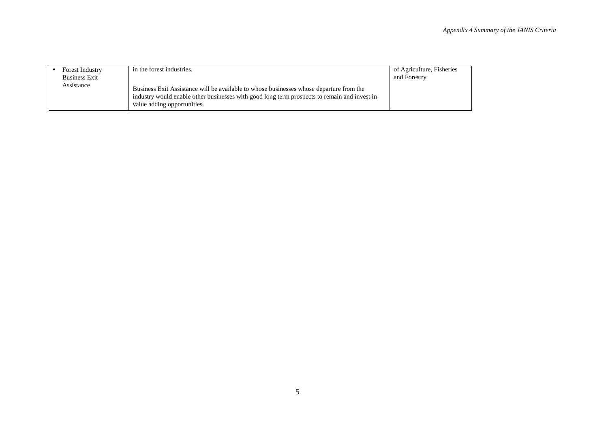| Forest Industry<br><b>Business Exit</b> | in the forest industries.                                                                                                                                                                                              | of Agriculture, Fisheries<br>and Forestry |
|-----------------------------------------|------------------------------------------------------------------------------------------------------------------------------------------------------------------------------------------------------------------------|-------------------------------------------|
| Assistance                              | Business Exit Assistance will be available to whose businesses whose departure from the<br>industry would enable other businesses with good long term prospects to remain and invest in<br>value adding opportunities. |                                           |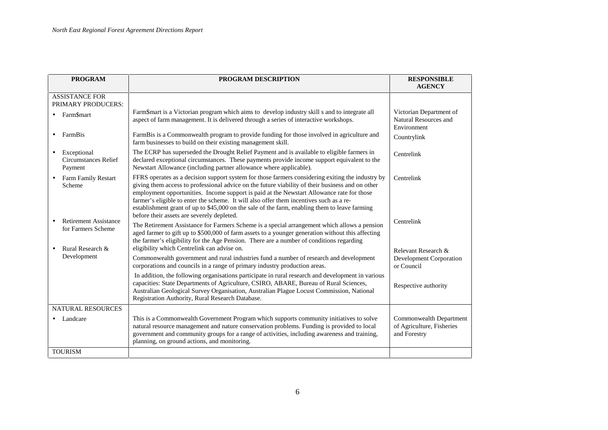| <b>PROGRAM</b>                                                  | PROGRAM DESCRIPTION                                                                                                                                                                                                                                                                                                                                                                                                                                                                                                                         | <b>RESPONSIBLE</b><br><b>AGENCY</b>                                  |
|-----------------------------------------------------------------|---------------------------------------------------------------------------------------------------------------------------------------------------------------------------------------------------------------------------------------------------------------------------------------------------------------------------------------------------------------------------------------------------------------------------------------------------------------------------------------------------------------------------------------------|----------------------------------------------------------------------|
|                                                                 |                                                                                                                                                                                                                                                                                                                                                                                                                                                                                                                                             |                                                                      |
| <b>ASSISTANCE FOR</b><br>PRIMARY PRODUCERS:                     |                                                                                                                                                                                                                                                                                                                                                                                                                                                                                                                                             |                                                                      |
| Farm\$mart                                                      | Farm\$mart is a Victorian program which aims to develop industry skill s and to integrate all<br>aspect of farm management. It is delivered through a series of interactive workshops.                                                                                                                                                                                                                                                                                                                                                      | Victorian Department of<br>Natural Resources and<br>Environment      |
| FarmBis<br>$\bullet$                                            | FarmBis is a Commonwealth program to provide funding for those involved in agriculture and<br>farm businesses to build on their existing management skill.                                                                                                                                                                                                                                                                                                                                                                                  | Countrylink                                                          |
| Exceptional<br>$\bullet$<br>Circumstances Relief<br>Payment     | The ECRP has superseded the Drought Relief Payment and is available to eligible farmers in<br>declared exceptional circumstances. These payments provide income support equivalent to the<br>Newstart Allowance (including partner allowance where applicable).                                                                                                                                                                                                                                                                             | Centrelink                                                           |
| <b>Farm Family Restart</b><br>$\bullet$<br>Scheme               | FFRS operates as a decision support system for those farmers considering exiting the industry by<br>giving them access to professional advice on the future viability of their business and on other<br>employment opportunities. Income support is paid at the Newstart Allowance rate for those<br>farmer's eligible to enter the scheme. It will also offer them incentives such as a re-<br>establishment grant of up to \$45,000 on the sale of the farm, enabling them to leave farming<br>before their assets are severely depleted. | Centrelink                                                           |
| <b>Retirement Assistance</b><br>$\bullet$<br>for Farmers Scheme | The Retirement Assistance for Farmers Scheme is a special arrangement which allows a pension<br>aged farmer to gift up to \$500,000 of farm assets to a younger generation without this affecting<br>the farmer's eligibility for the Age Pension. There are a number of conditions regarding                                                                                                                                                                                                                                               | Centrelink                                                           |
| Rural Research &<br>$\bullet$<br>Development                    | eligibility which Centrelink can advise on.<br>Commonwealth government and rural industries fund a number of research and development<br>corporations and councils in a range of primary industry production areas.                                                                                                                                                                                                                                                                                                                         | Relevant Research &<br>Development Corporation<br>or Council         |
|                                                                 | In addition, the following organisations participate in rural research and development in various<br>capacities: State Departments of Agriculture, CSIRO, ABARE, Bureau of Rural Sciences,<br>Australian Geological Survey Organisation, Australian Plague Locust Commission, National<br>Registration Authority, Rural Research Database.                                                                                                                                                                                                  | Respective authority                                                 |
| <b>NATURAL RESOURCES</b>                                        |                                                                                                                                                                                                                                                                                                                                                                                                                                                                                                                                             |                                                                      |
| Landcare<br>$\bullet$                                           | This is a Commonwealth Government Program which supports community initiatives to solve<br>natural resource management and nature conservation problems. Funding is provided to local<br>government and community groups for a range of activities, including awareness and training,<br>planning, on ground actions, and monitoring.                                                                                                                                                                                                       | Commonwealth Department<br>of Agriculture, Fisheries<br>and Forestry |
| <b>TOURISM</b>                                                  |                                                                                                                                                                                                                                                                                                                                                                                                                                                                                                                                             |                                                                      |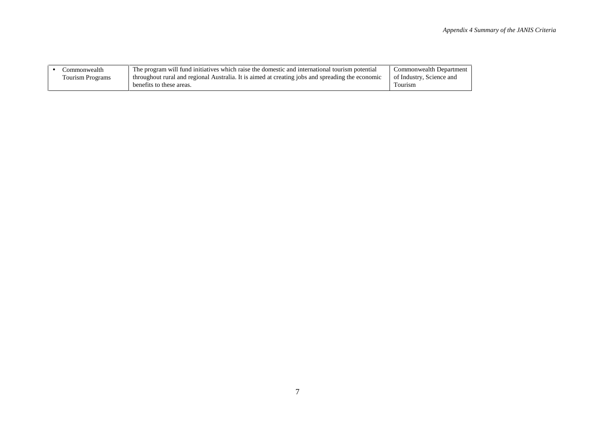| :ommonwealth     | The program will fund initiatives which raise the domestic and international tourism potential   | Commonwealth Department  |
|------------------|--------------------------------------------------------------------------------------------------|--------------------------|
| Tourism Programs | throughout rural and regional Australia. It is aimed at creating jobs and spreading the economic | of Industry, Science and |
|                  | benefits to these areas.                                                                         | Fourism                  |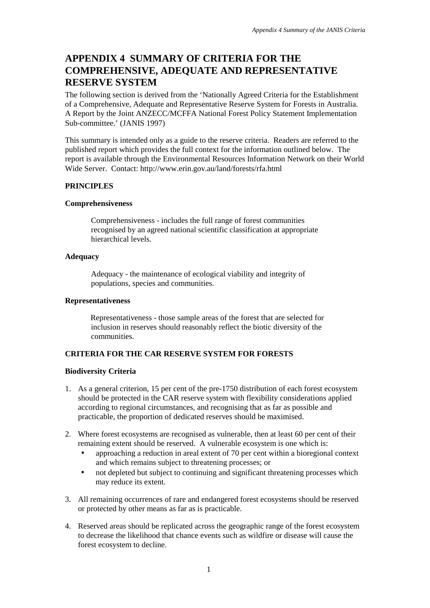# **APPENDIX 4 SUMMARY OF CRITERIA FOR THE COMPREHENSIVE, ADEQUATE AND REPRESENTATIVE RESERVE SYSTEM**

The following section is derived from the 'Nationally Agreed Criteria for the Establishment of a Comprehensive, Adequate and Representative Reserve System for Forests in Australia. A Report by the Joint ANZECC/MCFFA National Forest Policy Statement Implementation Sub-committee.' (JANIS 1997)

This summary is intended only as a guide to the reserve criteria. Readers are referred to the published report which provides the full context for the information outlined below. The report is available through the Environmental Resources Information Network on their World Wide Server. Contact: http://www.erin.gov.au/land/forests/rfa.html

# **PRINCIPLES**

# **Comprehensiveness**

Comprehensiveness - includes the full range of forest communities recognised by an agreed national scientific classification at appropriate hierarchical levels.

# **Adequacy**

Adequacy - the maintenance of ecological viability and integrity of populations, species and communities.

# **Representativeness**

Representativeness - those sample areas of the forest that are selected for inclusion in reserves should reasonably reflect the biotic diversity of the communities.

# **CRITERIA FOR THE CAR RESERVE SYSTEM FOR FORESTS**

# **Biodiversity Criteria**

- 1. As a general criterion, 15 per cent of the pre-1750 distribution of each forest ecosystem should be protected in the CAR reserve system with flexibility considerations applied according to regional circumstances, and recognising that as far as possible and practicable, the proportion of dedicated reserves should be maximised.
- 2. Where forest ecosystems are recognised as vulnerable, then at least 60 per cent of their remaining extent should be reserved. A vulnerable ecosystem is one which is:
	- approaching a reduction in areal extent of 70 per cent within a bioregional context and which remains subject to threatening processes; or
	- not depleted but subject to continuing and significant threatening processes which may reduce its extent.
- 3. All remaining occurrences of rare and endangered forest ecosystems should be reserved or protected by other means as far as is practicable.
- 4. Reserved areas should be replicated across the geographic range of the forest ecosystem to decrease the likelihood that chance events such as wildfire or disease will cause the forest ecosystem to decline.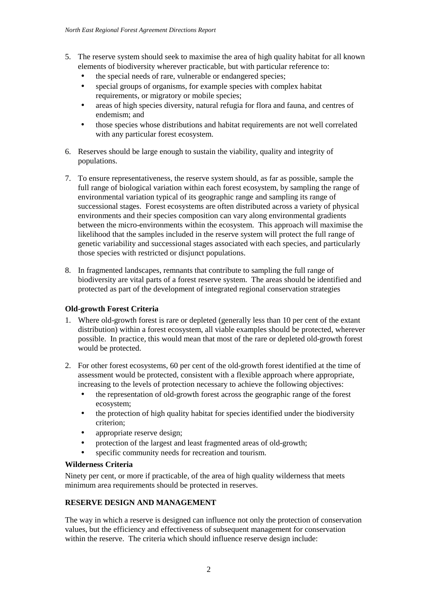- 5. The reserve system should seek to maximise the area of high quality habitat for all known elements of biodiversity wherever practicable, but with particular reference to:
	- the special needs of rare, vulnerable or endangered species;
	- special groups of organisms, for example species with complex habitat requirements, or migratory or mobile species;
	- areas of high species diversity, natural refugia for flora and fauna, and centres of endemism; and
	- those species whose distributions and habitat requirements are not well correlated with any particular forest ecosystem.
- 6. Reserves should be large enough to sustain the viability, quality and integrity of populations.
- 7. To ensure representativeness, the reserve system should, as far as possible, sample the full range of biological variation within each forest ecosystem, by sampling the range of environmental variation typical of its geographic range and sampling its range of successional stages. Forest ecosystems are often distributed across a variety of physical environments and their species composition can vary along environmental gradients between the micro-environments within the ecosystem. This approach will maximise the likelihood that the samples included in the reserve system will protect the full range of genetic variability and successional stages associated with each species, and particularly those species with restricted or disjunct populations.
- 8. In fragmented landscapes, remnants that contribute to sampling the full range of biodiversity are vital parts of a forest reserve system. The areas should be identified and protected as part of the development of integrated regional conservation strategies

# **Old-growth Forest Criteria**

- 1. Where old-growth forest is rare or depleted (generally less than 10 per cent of the extant distribution) within a forest ecosystem, all viable examples should be protected, wherever possible. In practice, this would mean that most of the rare or depleted old-growth forest would be protected.
- 2. For other forest ecosystems, 60 per cent of the old-growth forest identified at the time of assessment would be protected, consistent with a flexible approach where appropriate, increasing to the levels of protection necessary to achieve the following objectives:
	- the representation of old-growth forest across the geographic range of the forest ecosystem;
	- the protection of high quality habitat for species identified under the biodiversity criterion;
	- appropriate reserve design;
	- protection of the largest and least fragmented areas of old-growth;
	- specific community needs for recreation and tourism.

# **Wilderness Criteria**

Ninety per cent, or more if practicable, of the area of high quality wilderness that meets minimum area requirements should be protected in reserves.

# **RESERVE DESIGN AND MANAGEMENT**

The way in which a reserve is designed can influence not only the protection of conservation values, but the efficiency and effectiveness of subsequent management for conservation within the reserve. The criteria which should influence reserve design include: